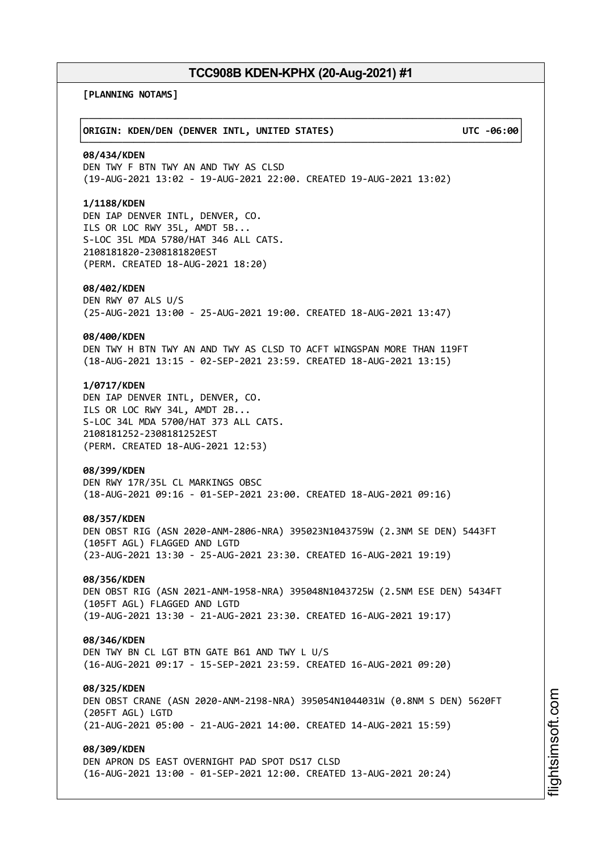┌──────────────────────────────────────────────────────────────────────────────┐

└──────────────────────────────────────────────────────────────────────────────┘

**[PLANNING NOTAMS]**

### │**ORIGIN: KDEN/DEN (DENVER INTL, UNITED STATES) UTC -06:00**│

#### **08/434/KDEN**

DEN TWY F BTN TWY AN AND TWY AS CLSD (19-AUG-2021 13:02 - 19-AUG-2021 22:00. CREATED 19-AUG-2021 13:02)

### **1/1188/KDEN**

DEN IAP DENVER INTL, DENVER, CO. ILS OR LOC RWY 35L, AMDT 5B... S-LOC 35L MDA 5780/HAT 346 ALL CATS. 2108181820-2308181820EST (PERM. CREATED 18-AUG-2021 18:20)

#### **08/402/KDEN**

DEN RWY 07 ALS U/S (25-AUG-2021 13:00 - 25-AUG-2021 19:00. CREATED 18-AUG-2021 13:47)

#### **08/400/KDEN**

DEN TWY H BTN TWY AN AND TWY AS CLSD TO ACFT WINGSPAN MORE THAN 119FT (18-AUG-2021 13:15 - 02-SEP-2021 23:59. CREATED 18-AUG-2021 13:15)

### **1/0717/KDEN**

DEN IAP DENVER INTL, DENVER, CO. ILS OR LOC RWY 34L, AMDT 2B... S-LOC 34L MDA 5700/HAT 373 ALL CATS. 2108181252-2308181252EST (PERM. CREATED 18-AUG-2021 12:53)

#### **08/399/KDEN**

DEN RWY 17R/35L CL MARKINGS OBSC (18-AUG-2021 09:16 - 01-SEP-2021 23:00. CREATED 18-AUG-2021 09:16)

#### **08/357/KDEN**

DEN OBST RIG (ASN 2020-ANM-2806-NRA) 395023N1043759W (2.3NM SE DEN) 5443FT (105FT AGL) FLAGGED AND LGTD (23-AUG-2021 13:30 - 25-AUG-2021 23:30. CREATED 16-AUG-2021 19:19)

### **08/356/KDEN**

DEN OBST RIG (ASN 2021-ANM-1958-NRA) 395048N1043725W (2.5NM ESE DEN) 5434FT (105FT AGL) FLAGGED AND LGTD (19-AUG-2021 13:30 - 21-AUG-2021 23:30. CREATED 16-AUG-2021 19:17)

#### **08/346/KDEN**

DEN TWY BN CL LGT BTN GATE B61 AND TWY L U/S (16-AUG-2021 09:17 - 15-SEP-2021 23:59. CREATED 16-AUG-2021 09:20)

### **08/325/KDEN**

DEN OBST CRANE (ASN 2020-ANM-2198-NRA) 395054N1044031W (0.8NM S DEN) 5620FT (205FT AGL) LGTD (21-AUG-2021 05:00 - 21-AUG-2021 14:00. CREATED 14-AUG-2021 15:59)

## **08/309/KDEN**

DEN APRON DS EAST OVERNIGHT PAD SPOT DS17 CLSD (16-AUG-2021 13:00 - 01-SEP-2021 12:00. CREATED 13-AUG-2021 20:24)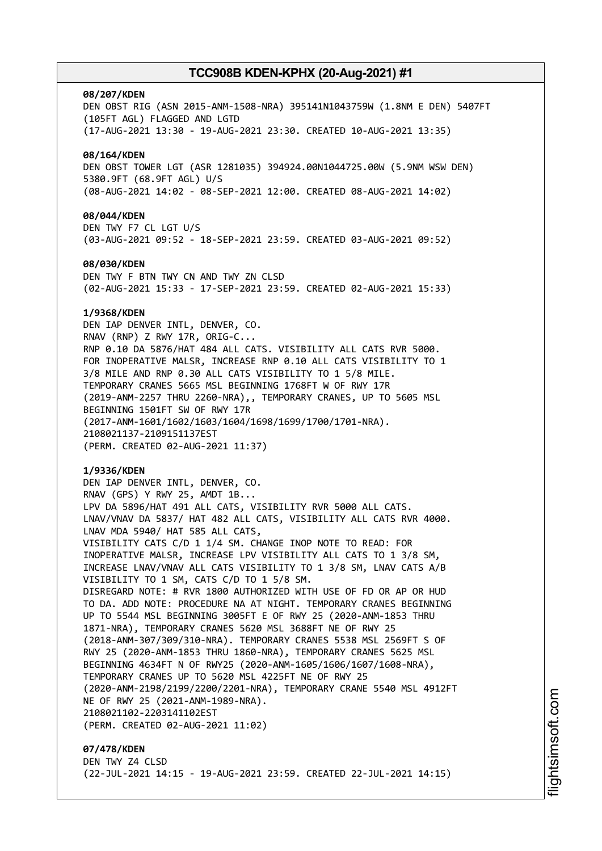#### **08/207/KDEN**

DEN OBST RIG (ASN 2015-ANM-1508-NRA) 395141N1043759W (1.8NM E DEN) 5407FT (105FT AGL) FLAGGED AND LGTD (17-AUG-2021 13:30 - 19-AUG-2021 23:30. CREATED 10-AUG-2021 13:35) **08/164/KDEN** DEN OBST TOWER LGT (ASR 1281035) 394924.00N1044725.00W (5.9NM WSW DEN) 5380.9FT (68.9FT AGL) U/S (08-AUG-2021 14:02 - 08-SEP-2021 12:00. CREATED 08-AUG-2021 14:02)

## **08/044/KDEN**

DEN TWY F7 CL LGT U/S (03-AUG-2021 09:52 - 18-SEP-2021 23:59. CREATED 03-AUG-2021 09:52)

#### **08/030/KDEN**

DEN TWY F BTN TWY CN AND TWY ZN CLSD (02-AUG-2021 15:33 - 17-SEP-2021 23:59. CREATED 02-AUG-2021 15:33)

#### **1/9368/KDEN**

DEN IAP DENVER INTL, DENVER, CO. RNAV (RNP) Z RWY 17R, ORIG-C... RNP 0.10 DA 5876/HAT 484 ALL CATS. VISIBILITY ALL CATS RVR 5000. FOR INOPERATIVE MALSR, INCREASE RNP 0.10 ALL CATS VISIBILITY TO 1 3/8 MILE AND RNP 0.30 ALL CATS VISIBILITY TO 1 5/8 MILE. TEMPORARY CRANES 5665 MSL BEGINNING 1768FT W OF RWY 17R (2019-ANM-2257 THRU 2260-NRA),, TEMPORARY CRANES, UP TO 5605 MSL BEGINNING 1501FT SW OF RWY 17R (2017-ANM-1601/1602/1603/1604/1698/1699/1700/1701-NRA). 2108021137-2109151137EST (PERM. CREATED 02-AUG-2021 11:37)

#### **1/9336/KDEN**

DEN IAP DENVER INTL, DENVER, CO. RNAV (GPS) Y RWY 25, AMDT 1B... LPV DA 5896/HAT 491 ALL CATS, VISIBILITY RVR 5000 ALL CATS. LNAV/VNAV DA 5837/ HAT 482 ALL CATS, VISIBILITY ALL CATS RVR 4000. LNAV MDA 5940/ HAT 585 ALL CATS, VISIBILITY CATS C/D 1 1/4 SM. CHANGE INOP NOTE TO READ: FOR INOPERATIVE MALSR, INCREASE LPV VISIBILITY ALL CATS TO 1 3/8 SM, INCREASE LNAV/VNAV ALL CATS VISIBILITY TO 1 3/8 SM, LNAV CATS A/B VISIBILITY TO 1 SM, CATS C/D TO 1 5/8 SM. DISREGARD NOTE: # RVR 1800 AUTHORIZED WITH USE OF FD OR AP OR HUD TO DA. ADD NOTE: PROCEDURE NA AT NIGHT. TEMPORARY CRANES BEGINNING UP TO 5544 MSL BEGINNING 3005FT E OF RWY 25 (2020-ANM-1853 THRU 1871-NRA), TEMPORARY CRANES 5620 MSL 3688FT NE OF RWY 25 (2018-ANM-307/309/310-NRA). TEMPORARY CRANES 5538 MSL 2569FT S OF RWY 25 (2020-ANM-1853 THRU 1860-NRA), TEMPORARY CRANES 5625 MSL BEGINNING 4634FT N OF RWY25 (2020-ANM-1605/1606/1607/1608-NRA), TEMPORARY CRANES UP TO 5620 MSL 4225FT NE OF RWY 25 (2020-ANM-2198/2199/2200/2201-NRA), TEMPORARY CRANE 5540 MSL 4912FT NE OF RWY 25 (2021-ANM-1989-NRA). 2108021102-2203141102EST (PERM. CREATED 02-AUG-2021 11:02)

**07/478/KDEN** DEN TWY Z4 CLSD (22-JUL-2021 14:15 - 19-AUG-2021 23:59. CREATED 22-JUL-2021 14:15)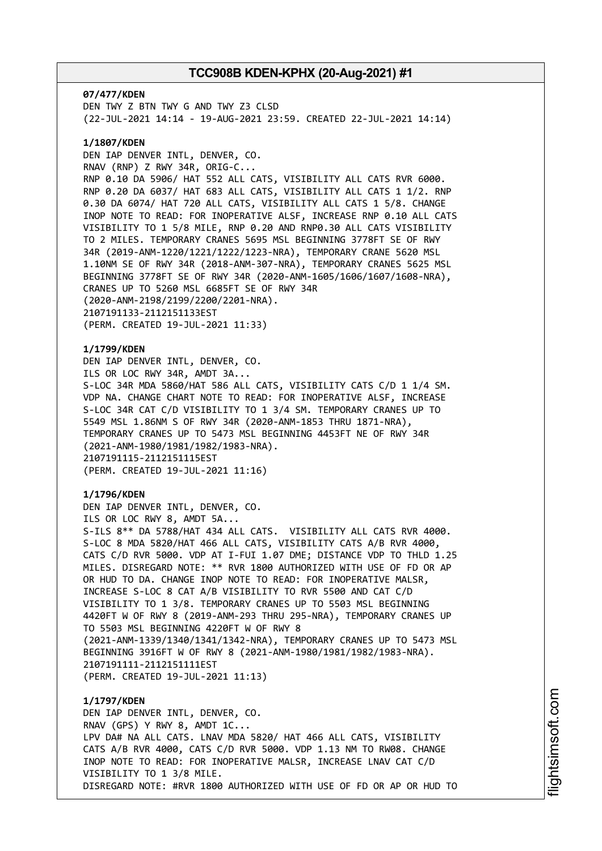**07/477/KDEN** DEN TWY Z BTN TWY G AND TWY Z3 CLSD (22-JUL-2021 14:14 - 19-AUG-2021 23:59. CREATED 22-JUL-2021 14:14)

### **1/1807/KDEN**

DEN IAP DENVER INTL, DENVER, CO. RNAV (RNP) Z RWY 34R, ORIG-C... RNP 0.10 DA 5906/ HAT 552 ALL CATS, VISIBILITY ALL CATS RVR 6000. RNP 0.20 DA 6037/ HAT 683 ALL CATS, VISIBILITY ALL CATS 1 1/2. RNP 0.30 DA 6074/ HAT 720 ALL CATS, VISIBILITY ALL CATS 1 5/8. CHANGE INOP NOTE TO READ: FOR INOPERATIVE ALSF, INCREASE RNP 0.10 ALL CATS VISIBILITY TO 1 5/8 MILE, RNP 0.20 AND RNP0.30 ALL CATS VISIBILITY TO 2 MILES. TEMPORARY CRANES 5695 MSL BEGINNING 3778FT SE OF RWY 34R (2019-ANM-1220/1221/1222/1223-NRA), TEMPORARY CRANE 5620 MSL 1.10NM SE OF RWY 34R (2018-ANM-307-NRA), TEMPORARY CRANES 5625 MSL BEGINNING 3778FT SE OF RWY 34R (2020-ANM-1605/1606/1607/1608-NRA), CRANES UP TO 5260 MSL 6685FT SE OF RWY 34R (2020-ANM-2198/2199/2200/2201-NRA). 2107191133-2112151133EST (PERM. CREATED 19-JUL-2021 11:33)

## **1/1799/KDEN**

DEN IAP DENVER INTL, DENVER, CO. ILS OR LOC RWY 34R, AMDT 3A... S-LOC 34R MDA 5860/HAT 586 ALL CATS, VISIBILITY CATS C/D 1 1/4 SM. VDP NA. CHANGE CHART NOTE TO READ: FOR INOPERATIVE ALSF, INCREASE S-LOC 34R CAT C/D VISIBILITY TO 1 3/4 SM. TEMPORARY CRANES UP TO 5549 MSL 1.86NM S OF RWY 34R (2020-ANM-1853 THRU 1871-NRA), TEMPORARY CRANES UP TO 5473 MSL BEGINNING 4453FT NE OF RWY 34R (2021-ANM-1980/1981/1982/1983-NRA). 2107191115-2112151115EST (PERM. CREATED 19-JUL-2021 11:16)

### **1/1796/KDEN**

DEN IAP DENVER INTL, DENVER, CO. ILS OR LOC RWY 8, AMDT 5A... S-ILS 8\*\* DA 5788/HAT 434 ALL CATS. VISIBILITY ALL CATS RVR 4000. S-LOC 8 MDA 5820/HAT 466 ALL CATS, VISIBILITY CATS A/B RVR 4000, CATS C/D RVR 5000. VDP AT I-FUI 1.07 DME; DISTANCE VDP TO THLD 1.25 MILES. DISREGARD NOTE: \*\* RVR 1800 AUTHORIZED WITH USE OF FD OR AP OR HUD TO DA. CHANGE INOP NOTE TO READ: FOR INOPERATIVE MALSR, INCREASE S-LOC 8 CAT A/B VISIBILITY TO RVR 5500 AND CAT C/D VISIBILITY TO 1 3/8. TEMPORARY CRANES UP TO 5503 MSL BEGINNING 4420FT W OF RWY 8 (2019-ANM-293 THRU 295-NRA), TEMPORARY CRANES UP TO 5503 MSL BEGINNING 4220FT W OF RWY 8 (2021-ANM-1339/1340/1341/1342-NRA), TEMPORARY CRANES UP TO 5473 MSL BEGINNING 3916FT W OF RWY 8 (2021-ANM-1980/1981/1982/1983-NRA). 2107191111-2112151111EST (PERM. CREATED 19-JUL-2021 11:13)

## **1/1797/KDEN** DEN IAP DENVER INTL, DENVER, CO. RNAV (GPS) Y RWY 8, AMDT 1C... LPV DA# NA ALL CATS. LNAV MDA 5820/ HAT 466 ALL CATS, VISIBILITY CATS A/B RVR 4000, CATS C/D RVR 5000. VDP 1.13 NM TO RW08. CHANGE INOP NOTE TO READ: FOR INOPERATIVE MALSR, INCREASE LNAV CAT C/D VISIBILITY TO 1 3/8 MILE. DISREGARD NOTE: #RVR 1800 AUTHORIZED WITH USE OF FD OR AP OR HUD TO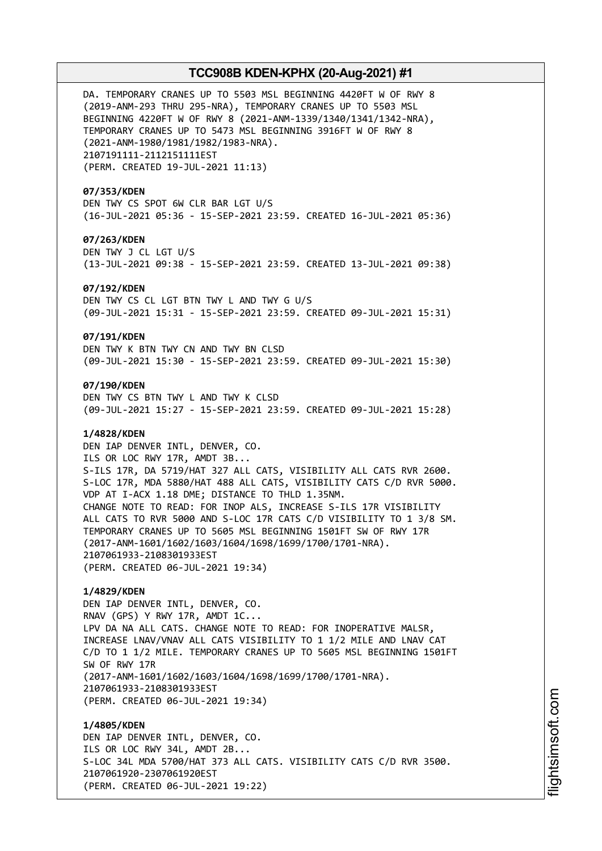DA. TEMPORARY CRANES UP TO 5503 MSL BEGINNING 4420FT W OF RWY 8 (2019-ANM-293 THRU 295-NRA), TEMPORARY CRANES UP TO 5503 MSL BEGINNING 4220FT W OF RWY 8 (2021-ANM-1339/1340/1341/1342-NRA), TEMPORARY CRANES UP TO 5473 MSL BEGINNING 3916FT W OF RWY 8 (2021-ANM-1980/1981/1982/1983-NRA). 2107191111-2112151111EST (PERM. CREATED 19-JUL-2021 11:13)

### **07/353/KDEN**

DEN TWY CS SPOT 6W CLR BAR LGT U/S (16-JUL-2021 05:36 - 15-SEP-2021 23:59. CREATED 16-JUL-2021 05:36)

### **07/263/KDEN**

DEN TWY J CL LGT U/S (13-JUL-2021 09:38 - 15-SEP-2021 23:59. CREATED 13-JUL-2021 09:38)

#### **07/192/KDEN**

DEN TWY CS CL LGT BTN TWY L AND TWY G U/S (09-JUL-2021 15:31 - 15-SEP-2021 23:59. CREATED 09-JUL-2021 15:31)

#### **07/191/KDEN**

DEN TWY K BTN TWY CN AND TWY BN CLSD (09-JUL-2021 15:30 - 15-SEP-2021 23:59. CREATED 09-JUL-2021 15:30)

### **07/190/KDEN**

DEN TWY CS BTN TWY L AND TWY K CLSD (09-JUL-2021 15:27 - 15-SEP-2021 23:59. CREATED 09-JUL-2021 15:28)

### **1/4828/KDEN**

DEN IAP DENVER INTL, DENVER, CO. ILS OR LOC RWY 17R, AMDT 3B... S-ILS 17R, DA 5719/HAT 327 ALL CATS, VISIBILITY ALL CATS RVR 2600. S-LOC 17R, MDA 5880/HAT 488 ALL CATS, VISIBILITY CATS C/D RVR 5000. VDP AT I-ACX 1.18 DME; DISTANCE TO THLD 1.35NM. CHANGE NOTE TO READ: FOR INOP ALS, INCREASE S-ILS 17R VISIBILITY ALL CATS TO RVR 5000 AND S-LOC 17R CATS C/D VISIBILITY TO 1 3/8 SM. TEMPORARY CRANES UP TO 5605 MSL BEGINNING 1501FT SW OF RWY 17R (2017-ANM-1601/1602/1603/1604/1698/1699/1700/1701-NRA). 2107061933-2108301933EST (PERM. CREATED 06-JUL-2021 19:34)

### **1/4829/KDEN**

DEN IAP DENVER INTL, DENVER, CO. RNAV (GPS) Y RWY 17R, AMDT 1C... LPV DA NA ALL CATS. CHANGE NOTE TO READ: FOR INOPERATIVE MALSR, INCREASE LNAV/VNAV ALL CATS VISIBILITY TO 1 1/2 MILE AND LNAV CAT C/D TO 1 1/2 MILE. TEMPORARY CRANES UP TO 5605 MSL BEGINNING 1501FT SW OF RWY 17R (2017-ANM-1601/1602/1603/1604/1698/1699/1700/1701-NRA). 2107061933-2108301933EST (PERM. CREATED 06-JUL-2021 19:34)

**1/4805/KDEN** DEN IAP DENVER INTL, DENVER, CO. ILS OR LOC RWY 34L, AMDT 2B... S-LOC 34L MDA 5700/HAT 373 ALL CATS. VISIBILITY CATS C/D RVR 3500. 2107061920-2307061920EST (PERM. CREATED 06-JUL-2021 19:22)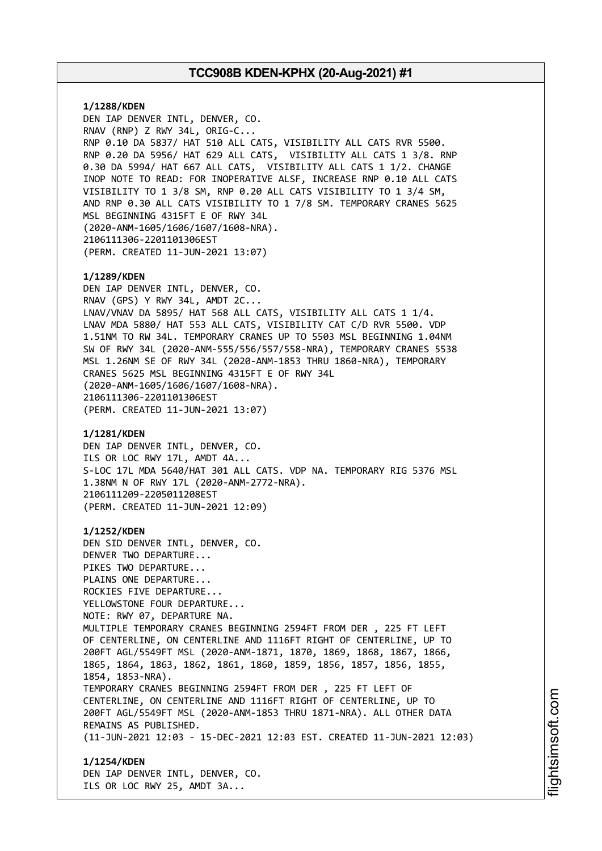**1/1288/KDEN** DEN IAP DENVER INTL, DENVER, CO. RNAV (RNP) Z RWY 34L, ORIG-C... RNP 0.10 DA 5837/ HAT 510 ALL CATS, VISIBILITY ALL CATS RVR 5500. RNP 0.20 DA 5956/ HAT 629 ALL CATS, VISIBILITY ALL CATS 1 3/8. RNP 0.30 DA 5994/ HAT 667 ALL CATS, VISIBILITY ALL CATS 1 1/2. CHANGE INOP NOTE TO READ: FOR INOPERATIVE ALSF, INCREASE RNP 0.10 ALL CATS VISIBILITY TO 1 3/8 SM, RNP 0.20 ALL CATS VISIBILITY TO 1 3/4 SM, AND RNP 0.30 ALL CATS VISIBILITY TO 1 7/8 SM. TEMPORARY CRANES 5625 MSL BEGINNING 4315FT E OF RWY 34L (2020-ANM-1605/1606/1607/1608-NRA). 2106111306-2201101306EST (PERM. CREATED 11-JUN-2021 13:07) **1/1289/KDEN** DEN IAP DENVER INTL, DENVER, CO. RNAV (GPS) Y RWY 34L, AMDT 2C... LNAV/VNAV DA 5895/ HAT 568 ALL CATS, VISIBILITY ALL CATS 1 1/4. LNAV MDA 5880/ HAT 553 ALL CATS, VISIBILITY CAT C/D RVR 5500. VDP 1.51NM TO RW 34L. TEMPORARY CRANES UP TO 5503 MSL BEGINNING 1.04NM SW OF RWY 34L (2020-ANM-555/556/557/558-NRA), TEMPORARY CRANES 5538 MSL 1.26NM SE OF RWY 34L (2020-ANM-1853 THRU 1860-NRA), TEMPORARY CRANES 5625 MSL BEGINNING 4315FT E OF RWY 34L (2020-ANM-1605/1606/1607/1608-NRA). 2106111306-2201101306EST (PERM. CREATED 11-JUN-2021 13:07) **1/1281/KDEN** DEN IAP DENVER INTL, DENVER, CO. ILS OR LOC RWY 17L, AMDT 4A... S-LOC 17L MDA 5640/HAT 301 ALL CATS. VDP NA. TEMPORARY RIG 5376 MSL 1.38NM N OF RWY 17L (2020-ANM-2772-NRA). 2106111209-2205011208EST (PERM. CREATED 11-JUN-2021 12:09) **1/1252/KDEN** DEN SID DENVER INTL, DENVER, CO. DENVER TWO DEPARTURE... PIKES TWO DEPARTURE... PLAINS ONE DEPARTURE... ROCKIES FIVE DEPARTURE... YELLOWSTONE FOUR DEPARTURE... NOTE: RWY 07, DEPARTURE NA. MULTIPLE TEMPORARY CRANES BEGINNING 2594FT FROM DER , 225 FT LEFT OF CENTERLINE, ON CENTERLINE AND 1116FT RIGHT OF CENTERLINE, UP TO 200FT AGL/5549FT MSL (2020-ANM-1871, 1870, 1869, 1868, 1867, 1866, 1865, 1864, 1863, 1862, 1861, 1860, 1859, 1856, 1857, 1856, 1855, 1854, 1853-NRA). TEMPORARY CRANES BEGINNING 2594FT FROM DER , 225 FT LEFT OF CENTERLINE, ON CENTERLINE AND 1116FT RIGHT OF CENTERLINE, UP TO 200FT AGL/5549FT MSL (2020-ANM-1853 THRU 1871-NRA). ALL OTHER DATA REMAINS AS PUBLISHED. (11-JUN-2021 12:03 - 15-DEC-2021 12:03 EST. CREATED 11-JUN-2021 12:03) **1/1254/KDEN** DEN IAP DENVER INTL, DENVER, CO.

ILS OR LOC RWY 25, AMDT 3A...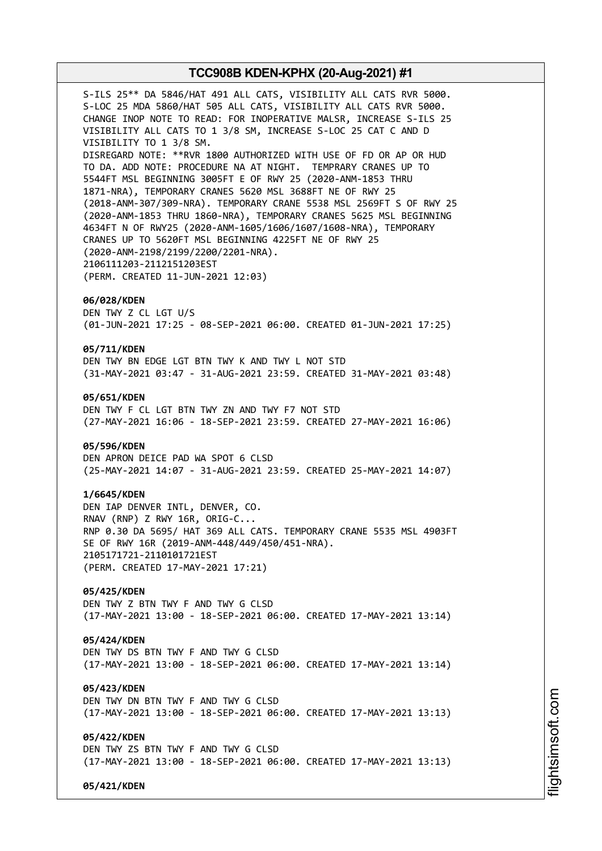S-ILS 25\*\* DA 5846/HAT 491 ALL CATS, VISIBILITY ALL CATS RVR 5000. S-LOC 25 MDA 5860/HAT 505 ALL CATS, VISIBILITY ALL CATS RVR 5000. CHANGE INOP NOTE TO READ: FOR INOPERATIVE MALSR, INCREASE S-ILS 25 VISIBILITY ALL CATS TO 1 3/8 SM, INCREASE S-LOC 25 CAT C AND D VISIBILITY TO 1 3/8 SM. DISREGARD NOTE: \*\*RVR 1800 AUTHORIZED WITH USE OF FD OR AP OR HUD TO DA. ADD NOTE: PROCEDURE NA AT NIGHT. TEMPRARY CRANES UP TO 5544FT MSL BEGINNING 3005FT E OF RWY 25 (2020-ANM-1853 THRU 1871-NRA), TEMPORARY CRANES 5620 MSL 3688FT NE OF RWY 25 (2018-ANM-307/309-NRA). TEMPORARY CRANE 5538 MSL 2569FT S OF RWY 25 (2020-ANM-1853 THRU 1860-NRA), TEMPORARY CRANES 5625 MSL BEGINNING 4634FT N OF RWY25 (2020-ANM-1605/1606/1607/1608-NRA), TEMPORARY CRANES UP TO 5620FT MSL BEGINNING 4225FT NE OF RWY 25 (2020-ANM-2198/2199/2200/2201-NRA). 2106111203-2112151203EST (PERM. CREATED 11-JUN-2021 12:03) **06/028/KDEN** DEN TWY Z CL LGT U/S (01-JUN-2021 17:25 - 08-SEP-2021 06:00. CREATED 01-JUN-2021 17:25) **05/711/KDEN** DEN TWY BN EDGE LGT BTN TWY K AND TWY L NOT STD (31-MAY-2021 03:47 - 31-AUG-2021 23:59. CREATED 31-MAY-2021 03:48) **05/651/KDEN** DEN TWY F CL LGT BTN TWY ZN AND TWY F7 NOT STD (27-MAY-2021 16:06 - 18-SEP-2021 23:59. CREATED 27-MAY-2021 16:06) **05/596/KDEN** DEN APRON DEICE PAD WA SPOT 6 CLSD (25-MAY-2021 14:07 - 31-AUG-2021 23:59. CREATED 25-MAY-2021 14:07) **1/6645/KDEN** DEN IAP DENVER INTL, DENVER, CO. RNAV (RNP) Z RWY 16R, ORIG-C... RNP 0.30 DA 5695/ HAT 369 ALL CATS. TEMPORARY CRANE 5535 MSL 4903FT

SE OF RWY 16R (2019-ANM-448/449/450/451-NRA). 2105171721-2110101721EST (PERM. CREATED 17-MAY-2021 17:21)

**05/425/KDEN** DEN TWY Z BTN TWY F AND TWY G CLSD (17-MAY-2021 13:00 - 18-SEP-2021 06:00. CREATED 17-MAY-2021 13:14)

**05/424/KDEN**

DEN TWY DS BTN TWY F AND TWY G CLSD (17-MAY-2021 13:00 - 18-SEP-2021 06:00. CREATED 17-MAY-2021 13:14)

**05/423/KDEN** DEN TWY DN BTN TWY F AND TWY G CLSD (17-MAY-2021 13:00 - 18-SEP-2021 06:00. CREATED 17-MAY-2021 13:13)

**05/422/KDEN** DEN TWY ZS BTN TWY F AND TWY G CLSD (17-MAY-2021 13:00 - 18-SEP-2021 06:00. CREATED 17-MAY-2021 13:13)

**05/421/KDEN**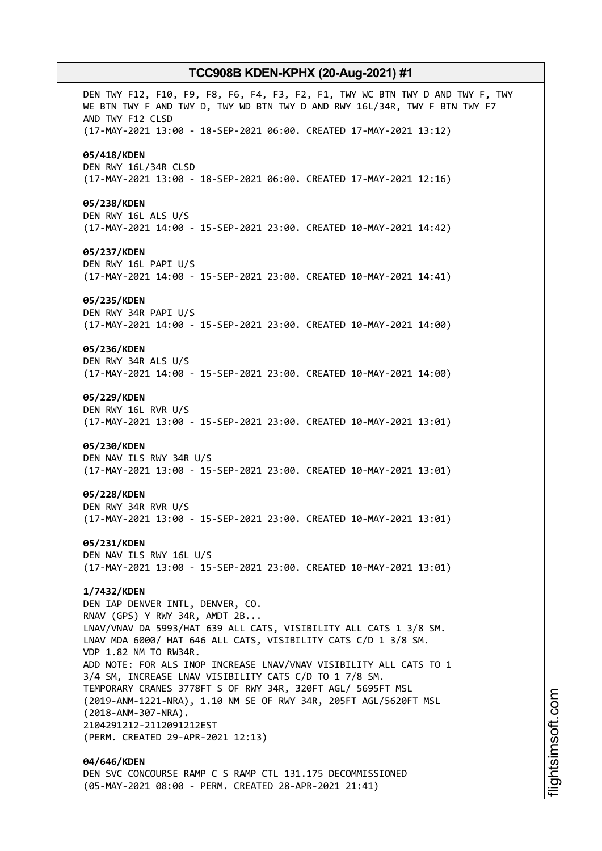DEN TWY F12, F10, F9, F8, F6, F4, F3, F2, F1, TWY WC BTN TWY D AND TWY F, TWY WE BTN TWY F AND TWY D, TWY WD BTN TWY D AND RWY 16L/34R, TWY F BTN TWY F7 AND TWY F12 CLSD (17-MAY-2021 13:00 - 18-SEP-2021 06:00. CREATED 17-MAY-2021 13:12) **05/418/KDEN** DEN RWY 16L/34R CLSD (17-MAY-2021 13:00 - 18-SEP-2021 06:00. CREATED 17-MAY-2021 12:16) **05/238/KDEN** DEN RWY 16L ALS U/S (17-MAY-2021 14:00 - 15-SEP-2021 23:00. CREATED 10-MAY-2021 14:42) **05/237/KDEN** DEN RWY 16L PAPI U/S (17-MAY-2021 14:00 - 15-SEP-2021 23:00. CREATED 10-MAY-2021 14:41) **05/235/KDEN** DEN RWY 34R PAPI U/S (17-MAY-2021 14:00 - 15-SEP-2021 23:00. CREATED 10-MAY-2021 14:00) **05/236/KDEN** DEN RWY 34R ALS U/S (17-MAY-2021 14:00 - 15-SEP-2021 23:00. CREATED 10-MAY-2021 14:00) **05/229/KDEN** DEN RWY 16L RVR U/S (17-MAY-2021 13:00 - 15-SEP-2021 23:00. CREATED 10-MAY-2021 13:01) **05/230/KDEN** DEN NAV ILS RWY 34R U/S (17-MAY-2021 13:00 - 15-SEP-2021 23:00. CREATED 10-MAY-2021 13:01) **05/228/KDEN** DEN RWY 34R RVR U/S (17-MAY-2021 13:00 - 15-SEP-2021 23:00. CREATED 10-MAY-2021 13:01) **05/231/KDEN** DEN NAV ILS RWY 16L U/S (17-MAY-2021 13:00 - 15-SEP-2021 23:00. CREATED 10-MAY-2021 13:01) **1/7432/KDEN** DEN IAP DENVER INTL, DENVER, CO. RNAV (GPS) Y RWY 34R, AMDT 2B... LNAV/VNAV DA 5993/HAT 639 ALL CATS, VISIBILITY ALL CATS 1 3/8 SM. LNAV MDA 6000/ HAT 646 ALL CATS, VISIBILITY CATS C/D 1 3/8 SM. VDP 1.82 NM TO RW34R. ADD NOTE: FOR ALS INOP INCREASE LNAV/VNAV VISIBILITY ALL CATS TO 1 3/4 SM, INCREASE LNAV VISIBILITY CATS C/D TO 1 7/8 SM. TEMPORARY CRANES 3778FT S OF RWY 34R, 320FT AGL/ 5695FT MSL (2019-ANM-1221-NRA), 1.10 NM SE OF RWY 34R, 205FT AGL/5620FT MSL (2018-ANM-307-NRA). 2104291212-2112091212EST (PERM. CREATED 29-APR-2021 12:13) **04/646/KDEN** DEN SVC CONCOURSE RAMP C S RAMP CTL 131.175 DECOMMISSIONED

(05-MAY-2021 08:00 - PERM. CREATED 28-APR-2021 21:41)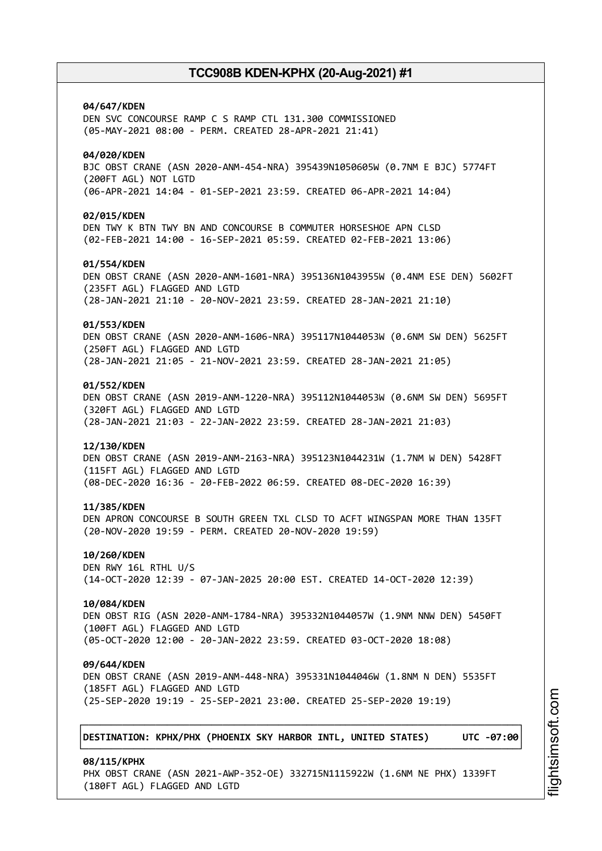**04/647/KDEN** DEN SVC CONCOURSE RAMP C S RAMP CTL 131.300 COMMISSIONED (05-MAY-2021 08:00 - PERM. CREATED 28-APR-2021 21:41) **04/020/KDEN** BJC OBST CRANE (ASN 2020-ANM-454-NRA) 395439N1050605W (0.7NM E BJC) 5774FT (200FT AGL) NOT LGTD (06-APR-2021 14:04 - 01-SEP-2021 23:59. CREATED 06-APR-2021 14:04) **02/015/KDEN** DEN TWY K BTN TWY BN AND CONCOURSE B COMMUTER HORSESHOE APN CLSD (02-FEB-2021 14:00 - 16-SEP-2021 05:59. CREATED 02-FEB-2021 13:06) **01/554/KDEN** DEN OBST CRANE (ASN 2020-ANM-1601-NRA) 395136N1043955W (0.4NM ESE DEN) 5602FT (235FT AGL) FLAGGED AND LGTD (28-JAN-2021 21:10 - 20-NOV-2021 23:59. CREATED 28-JAN-2021 21:10) **01/553/KDEN** DEN OBST CRANE (ASN 2020-ANM-1606-NRA) 395117N1044053W (0.6NM SW DEN) 5625FT (250FT AGL) FLAGGED AND LGTD (28-JAN-2021 21:05 - 21-NOV-2021 23:59. CREATED 28-JAN-2021 21:05) **01/552/KDEN** DEN OBST CRANE (ASN 2019-ANM-1220-NRA) 395112N1044053W (0.6NM SW DEN) 5695FT (320FT AGL) FLAGGED AND LGTD (28-JAN-2021 21:03 - 22-JAN-2022 23:59. CREATED 28-JAN-2021 21:03) **12/130/KDEN** DEN OBST CRANE (ASN 2019-ANM-2163-NRA) 395123N1044231W (1.7NM W DEN) 5428FT (115FT AGL) FLAGGED AND LGTD (08-DEC-2020 16:36 - 20-FEB-2022 06:59. CREATED 08-DEC-2020 16:39) **11/385/KDEN** DEN APRON CONCOURSE B SOUTH GREEN TXL CLSD TO ACFT WINGSPAN MORE THAN 135FT (20-NOV-2020 19:59 - PERM. CREATED 20-NOV-2020 19:59) **10/260/KDEN** DEN RWY 16L RTHL U/S (14-OCT-2020 12:39 - 07-JAN-2025 20:00 EST. CREATED 14-OCT-2020 12:39) **10/084/KDEN** DEN OBST RIG (ASN 2020-ANM-1784-NRA) 395332N1044057W (1.9NM NNW DEN) 5450FT (100FT AGL) FLAGGED AND LGTD (05-OCT-2020 12:00 - 20-JAN-2022 23:59. CREATED 03-OCT-2020 18:08) **09/644/KDEN** DEN OBST CRANE (ASN 2019-ANM-448-NRA) 395331N1044046W (1.8NM N DEN) 5535FT (185FT AGL) FLAGGED AND LGTD (25-SEP-2020 19:19 - 25-SEP-2021 23:00. CREATED 25-SEP-2020 19:19) ┌──────────────────────────────────────────────────────────────────────────────┐ │**DESTINATION: KPHX/PHX (PHOENIX SKY HARBOR INTL, UNITED STATES) UTC -07:00**│ └──────────────────────────────────────────────────────────────────────────────┘ **08/115/KPHX**

PHX OBST CRANE (ASN 2021-AWP-352-OE) 332715N1115922W (1.6NM NE PHX) 1339FT

(180FT AGL) FLAGGED AND LGTD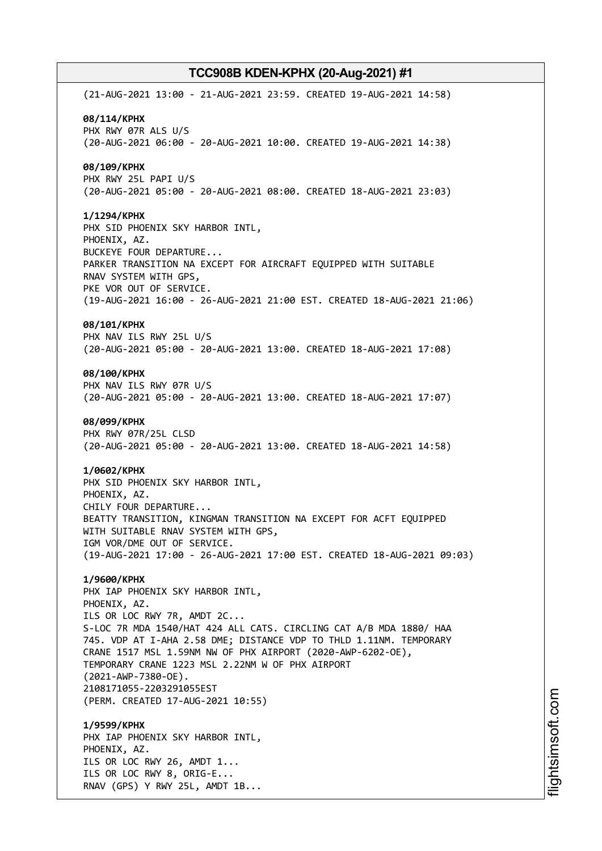(21-AUG-2021 13:00 - 21-AUG-2021 23:59. CREATED 19-AUG-2021 14:58) **08/114/KPHX** PHX RWY 07R ALS U/S (20-AUG-2021 06:00 - 20-AUG-2021 10:00. CREATED 19-AUG-2021 14:38) **08/109/KPHX** PHX RWY 25L PAPI U/S (20-AUG-2021 05:00 - 20-AUG-2021 08:00. CREATED 18-AUG-2021 23:03) **1/1294/KPHX** PHX SID PHOENIX SKY HARBOR INTL, PHOENIX, AZ. BUCKEYE FOUR DEPARTURE... PARKER TRANSITION NA EXCEPT FOR AIRCRAFT EQUIPPED WITH SUITABLE RNAV SYSTEM WITH GPS, PKE VOR OUT OF SERVICE. (19-AUG-2021 16:00 - 26-AUG-2021 21:00 EST. CREATED 18-AUG-2021 21:06) **08/101/KPHX** PHX NAV ILS RWY 25L U/S (20-AUG-2021 05:00 - 20-AUG-2021 13:00. CREATED 18-AUG-2021 17:08) **08/100/KPHX** PHX NAV ILS RWY 07R U/S (20-AUG-2021 05:00 - 20-AUG-2021 13:00. CREATED 18-AUG-2021 17:07) **08/099/KPHX** PHX RWY 07R/25L CLSD (20-AUG-2021 05:00 - 20-AUG-2021 13:00. CREATED 18-AUG-2021 14:58) **1/0602/KPHX** PHX SID PHOENIX SKY HARBOR INTL, PHOENIX, AZ. CHILY FOUR DEPARTURE... BEATTY TRANSITION, KINGMAN TRANSITION NA EXCEPT FOR ACFT EQUIPPED WITH SUITABLE RNAV SYSTEM WITH GPS, IGM VOR/DME OUT OF SERVICE. (19-AUG-2021 17:00 - 26-AUG-2021 17:00 EST. CREATED 18-AUG-2021 09:03) **1/9600/KPHX** PHX IAP PHOENIX SKY HARBOR INTL, PHOENIX, AZ. ILS OR LOC RWY 7R, AMDT 2C... S-LOC 7R MDA 1540/HAT 424 ALL CATS. CIRCLING CAT A/B MDA 1880/ HAA 745. VDP AT I-AHA 2.58 DME; DISTANCE VDP TO THLD 1.11NM. TEMPORARY CRANE 1517 MSL 1.59NM NW OF PHX AIRPORT (2020-AWP-6202-OE), TEMPORARY CRANE 1223 MSL 2.22NM W OF PHX AIRPORT (2021-AWP-7380-OE). 2108171055-2203291055EST (PERM. CREATED 17-AUG-2021 10:55) **1/9599/KPHX** PHX IAP PHOENIX SKY HARBOR INTL, PHOENIX, AZ. ILS OR LOC RWY 26, AMDT 1... ILS OR LOC RWY 8, ORIG-E... RNAV (GPS) Y RWY 25L, AMDT 1B...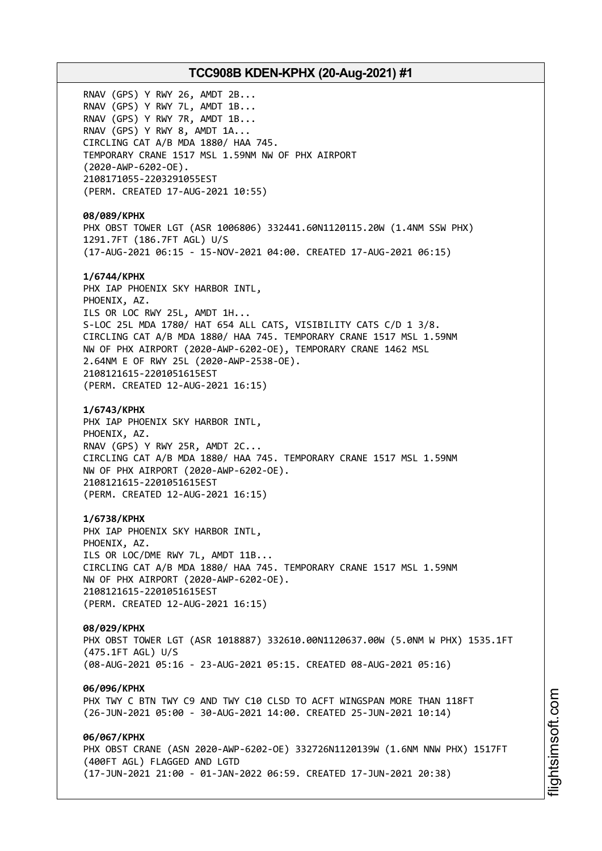RNAV (GPS) Y RWY 26, AMDT 2B... RNAV (GPS) Y RWY 7L, AMDT 1B... RNAV (GPS) Y RWY 7R, AMDT 1B... RNAV (GPS) Y RWY 8, AMDT 1A... CIRCLING CAT A/B MDA 1880/ HAA 745. TEMPORARY CRANE 1517 MSL 1.59NM NW OF PHX AIRPORT (2020-AWP-6202-OE). 2108171055-2203291055EST (PERM. CREATED 17-AUG-2021 10:55) **08/089/KPHX** PHX OBST TOWER LGT (ASR 1006806) 332441.60N1120115.20W (1.4NM SSW PHX) 1291.7FT (186.7FT AGL) U/S (17-AUG-2021 06:15 - 15-NOV-2021 04:00. CREATED 17-AUG-2021 06:15) **1/6744/KPHX** PHX IAP PHOENIX SKY HARBOR INTL, PHOENIX, AZ. ILS OR LOC RWY 25L, AMDT 1H... S-LOC 25L MDA 1780/ HAT 654 ALL CATS, VISIBILITY CATS C/D 1 3/8. CIRCLING CAT A/B MDA 1880/ HAA 745. TEMPORARY CRANE 1517 MSL 1.59NM NW OF PHX AIRPORT (2020-AWP-6202-OE), TEMPORARY CRANE 1462 MSL 2.64NM E OF RWY 25L (2020-AWP-2538-OE). 2108121615-2201051615EST (PERM. CREATED 12-AUG-2021 16:15) **1/6743/KPHX** PHX IAP PHOENIX SKY HARBOR INTL, PHOENIX, AZ. RNAV (GPS) Y RWY 25R, AMDT 2C... CIRCLING CAT A/B MDA 1880/ HAA 745. TEMPORARY CRANE 1517 MSL 1.59NM NW OF PHX AIRPORT (2020-AWP-6202-OE). 2108121615-2201051615EST (PERM. CREATED 12-AUG-2021 16:15) **1/6738/KPHX** PHX IAP PHOENIX SKY HARBOR INTL, PHOENIX, AZ. ILS OR LOC/DME RWY 7L, AMDT 11B... CIRCLING CAT A/B MDA 1880/ HAA 745. TEMPORARY CRANE 1517 MSL 1.59NM NW OF PHX AIRPORT (2020-AWP-6202-OE). 2108121615-2201051615EST (PERM. CREATED 12-AUG-2021 16:15) **08/029/KPHX** PHX OBST TOWER LGT (ASR 1018887) 332610.00N1120637.00W (5.0NM W PHX) 1535.1FT (475.1FT AGL) U/S (08-AUG-2021 05:16 - 23-AUG-2021 05:15. CREATED 08-AUG-2021 05:16) **06/096/KPHX** PHX TWY C BTN TWY C9 AND TWY C10 CLSD TO ACFT WINGSPAN MORE THAN 118FT (26-JUN-2021 05:00 - 30-AUG-2021 14:00. CREATED 25-JUN-2021 10:14) **06/067/KPHX** PHX OBST CRANE (ASN 2020-AWP-6202-OE) 332726N1120139W (1.6NM NNW PHX) 1517FT (400FT AGL) FLAGGED AND LGTD (17-JUN-2021 21:00 - 01-JAN-2022 06:59. CREATED 17-JUN-2021 20:38)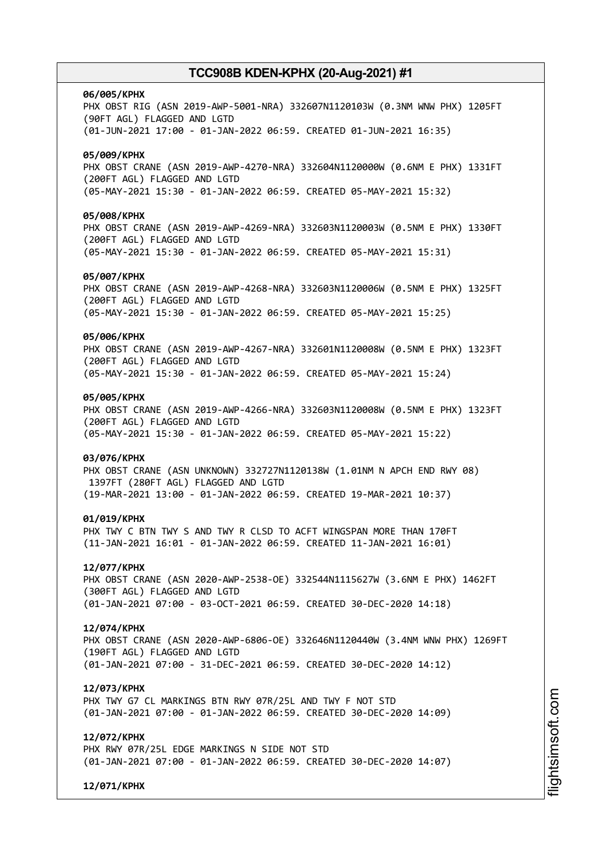# **06/005/KPHX** PHX OBST RIG (ASN 2019-AWP-5001-NRA) 332607N1120103W (0.3NM WNW PHX) 1205FT (90FT AGL) FLAGGED AND LGTD (01-JUN-2021 17:00 - 01-JAN-2022 06:59. CREATED 01-JUN-2021 16:35) **05/009/KPHX** PHX OBST CRANE (ASN 2019-AWP-4270-NRA) 332604N1120000W (0.6NM E PHX) 1331FT (200FT AGL) FLAGGED AND LGTD (05-MAY-2021 15:30 - 01-JAN-2022 06:59. CREATED 05-MAY-2021 15:32) **05/008/KPHX** PHX OBST CRANE (ASN 2019-AWP-4269-NRA) 332603N1120003W (0.5NM E PHX) 1330FT (200FT AGL) FLAGGED AND LGTD (05-MAY-2021 15:30 - 01-JAN-2022 06:59. CREATED 05-MAY-2021 15:31) **05/007/KPHX** PHX OBST CRANE (ASN 2019-AWP-4268-NRA) 332603N1120006W (0.5NM E PHX) 1325FT (200FT AGL) FLAGGED AND LGTD (05-MAY-2021 15:30 - 01-JAN-2022 06:59. CREATED 05-MAY-2021 15:25) **05/006/KPHX** PHX OBST CRANE (ASN 2019-AWP-4267-NRA) 332601N1120008W (0.5NM E PHX) 1323FT (200FT AGL) FLAGGED AND LGTD (05-MAY-2021 15:30 - 01-JAN-2022 06:59. CREATED 05-MAY-2021 15:24) **05/005/KPHX** PHX OBST CRANE (ASN 2019-AWP-4266-NRA) 332603N1120008W (0.5NM E PHX) 1323FT (200FT AGL) FLAGGED AND LGTD (05-MAY-2021 15:30 - 01-JAN-2022 06:59. CREATED 05-MAY-2021 15:22) **03/076/KPHX** PHX OBST CRANE (ASN UNKNOWN) 332727N1120138W (1.01NM N APCH END RWY 08) 1397FT (280FT AGL) FLAGGED AND LGTD (19-MAR-2021 13:00 - 01-JAN-2022 06:59. CREATED 19-MAR-2021 10:37) **01/019/KPHX** PHX TWY C BTN TWY S AND TWY R CLSD TO ACFT WINGSPAN MORE THAN 170FT (11-JAN-2021 16:01 - 01-JAN-2022 06:59. CREATED 11-JAN-2021 16:01) **12/077/KPHX** PHX OBST CRANE (ASN 2020-AWP-2538-OE) 332544N1115627W (3.6NM E PHX) 1462FT (300FT AGL) FLAGGED AND LGTD (01-JAN-2021 07:00 - 03-OCT-2021 06:59. CREATED 30-DEC-2020 14:18) **12/074/KPHX** PHX OBST CRANE (ASN 2020-AWP-6806-OE) 332646N1120440W (3.4NM WNW PHX) 1269FT (190FT AGL) FLAGGED AND LGTD (01-JAN-2021 07:00 - 31-DEC-2021 06:59. CREATED 30-DEC-2020 14:12) **12/073/KPHX** PHX TWY G7 CL MARKINGS BTN RWY 07R/25L AND TWY F NOT STD (01-JAN-2021 07:00 - 01-JAN-2022 06:59. CREATED 30-DEC-2020 14:09) **12/072/KPHX** PHX RWY 07R/25L EDGE MARKINGS N SIDE NOT STD (01-JAN-2021 07:00 - 01-JAN-2022 06:59. CREATED 30-DEC-2020 14:07)

**12/071/KPHX**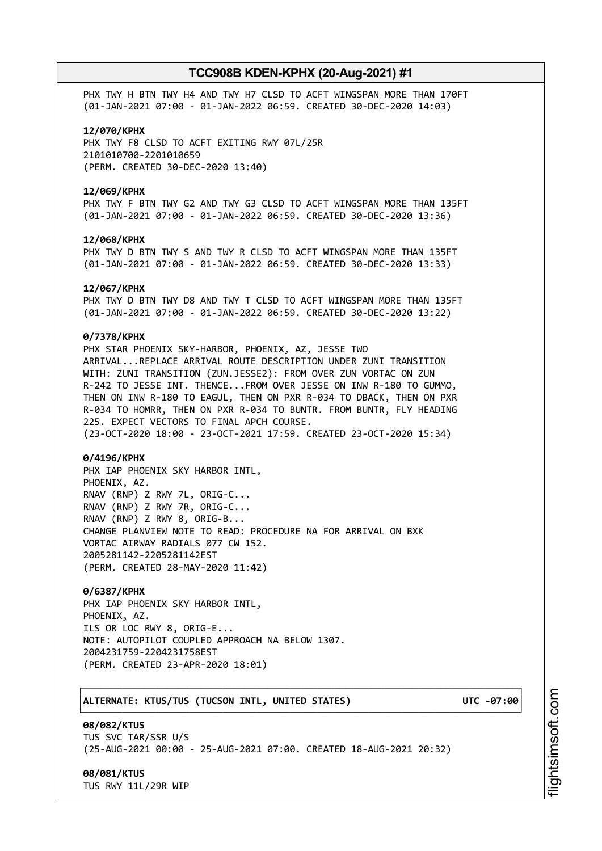PHX TWY H BTN TWY H4 AND TWY H7 CLSD TO ACFT WINGSPAN MORE THAN 170FT (01-JAN-2021 07:00 - 01-JAN-2022 06:59. CREATED 30-DEC-2020 14:03)

#### **12/070/KPHX**

PHX TWY F8 CLSD TO ACFT EXITING RWY 07L/25R 2101010700-2201010659 (PERM. CREATED 30-DEC-2020 13:40)

#### **12/069/KPHX**

PHX TWY F BTN TWY G2 AND TWY G3 CLSD TO ACFT WINGSPAN MORE THAN 135FT (01-JAN-2021 07:00 - 01-JAN-2022 06:59. CREATED 30-DEC-2020 13:36)

#### **12/068/KPHX**

PHX TWY D BTN TWY S AND TWY R CLSD TO ACFT WINGSPAN MORE THAN 135FT (01-JAN-2021 07:00 - 01-JAN-2022 06:59. CREATED 30-DEC-2020 13:33)

#### **12/067/KPHX**

PHX TWY D BTN TWY D8 AND TWY T CLSD TO ACFT WINGSPAN MORE THAN 135FT (01-JAN-2021 07:00 - 01-JAN-2022 06:59. CREATED 30-DEC-2020 13:22)

#### **0/7378/KPHX**

PHX STAR PHOENIX SKY-HARBOR, PHOENIX, AZ, JESSE TWO ARRIVAL...REPLACE ARRIVAL ROUTE DESCRIPTION UNDER ZUNI TRANSITION WITH: ZUNI TRANSITION (ZUN.JESSE2): FROM OVER ZUN VORTAC ON ZUN R-242 TO JESSE INT. THENCE...FROM OVER JESSE ON INW R-180 TO GUMMO, THEN ON INW R-180 TO EAGUL, THEN ON PXR R-034 TO DBACK, THEN ON PXR R-034 TO HOMRR, THEN ON PXR R-034 TO BUNTR. FROM BUNTR, FLY HEADING 225. EXPECT VECTORS TO FINAL APCH COURSE. (23-OCT-2020 18:00 - 23-OCT-2021 17:59. CREATED 23-OCT-2020 15:34)

#### **0/4196/KPHX**

PHX IAP PHOENIX SKY HARBOR INTL, PHOENIX, AZ. RNAV (RNP) Z RWY 7L, ORIG-C... RNAV (RNP) Z RWY 7R, ORIG-C... RNAV (RNP) Z RWY 8, ORIG-B... CHANGE PLANVIEW NOTE TO READ: PROCEDURE NA FOR ARRIVAL ON BXK VORTAC AIRWAY RADIALS 077 CW 152. 2005281142-2205281142EST (PERM. CREATED 28-MAY-2020 11:42)

### **0/6387/KPHX**

PHX IAP PHOENIX SKY HARBOR INTL, PHOENIX, AZ. ILS OR LOC RWY 8, ORIG-E... NOTE: AUTOPILOT COUPLED APPROACH NA BELOW 1307. 2004231759-2204231758EST (PERM. CREATED 23-APR-2020 18:01)

### │**ALTERNATE: KTUS/TUS (TUCSON INTL, UNITED STATES) UTC -07:00**│

**08/082/KTUS** TUS SVC TAR/SSR U/S (25-AUG-2021 00:00 - 25-AUG-2021 07:00. CREATED 18-AUG-2021 20:32)

┌──────────────────────────────────────────────────────────────────────────────┐

└──────────────────────────────────────────────────────────────────────────────┘

### **08/081/KTUS**

TUS RWY 11L/29R WIP

i⊒<br>⊫ htsim soft.c o

m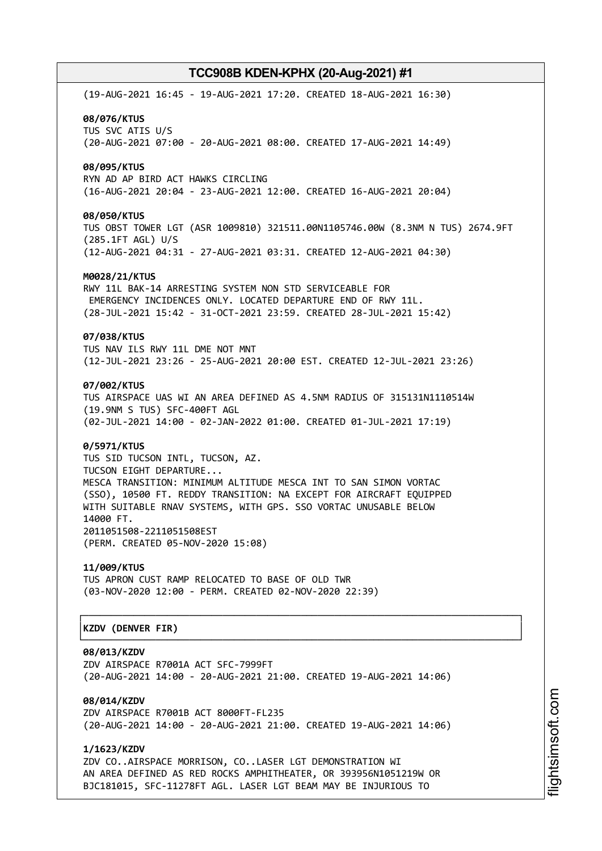(19-AUG-2021 16:45 - 19-AUG-2021 17:20. CREATED 18-AUG-2021 16:30) **08/076/KTUS** TUS SVC ATIS U/S (20-AUG-2021 07:00 - 20-AUG-2021 08:00. CREATED 17-AUG-2021 14:49) **08/095/KTUS** RYN AD AP BIRD ACT HAWKS CIRCLING (16-AUG-2021 20:04 - 23-AUG-2021 12:00. CREATED 16-AUG-2021 20:04) **08/050/KTUS** TUS OBST TOWER LGT (ASR 1009810) 321511.00N1105746.00W (8.3NM N TUS) 2674.9FT (285.1FT AGL) U/S (12-AUG-2021 04:31 - 27-AUG-2021 03:31. CREATED 12-AUG-2021 04:30) **M0028/21/KTUS** RWY 11L BAK-14 ARRESTING SYSTEM NON STD SERVICEABLE FOR EMERGENCY INCIDENCES ONLY. LOCATED DEPARTURE END OF RWY 11L. (28-JUL-2021 15:42 - 31-OCT-2021 23:59. CREATED 28-JUL-2021 15:42) **07/038/KTUS** TUS NAV ILS RWY 11L DME NOT MNT (12-JUL-2021 23:26 - 25-AUG-2021 20:00 EST. CREATED 12-JUL-2021 23:26) **07/002/KTUS** TUS AIRSPACE UAS WI AN AREA DEFINED AS 4.5NM RADIUS OF 315131N1110514W (19.9NM S TUS) SFC-400FT AGL (02-JUL-2021 14:00 - 02-JAN-2022 01:00. CREATED 01-JUL-2021 17:19) **0/5971/KTUS** TUS SID TUCSON INTL, TUCSON, AZ. TUCSON EIGHT DEPARTURE... MESCA TRANSITION: MINIMUM ALTITUDE MESCA INT TO SAN SIMON VORTAC (SSO), 10500 FT. REDDY TRANSITION: NA EXCEPT FOR AIRCRAFT EQUIPPED WITH SUITABLE RNAV SYSTEMS, WITH GPS. SSO VORTAC UNUSABLE BELOW 14000 FT. 2011051508-2211051508EST (PERM. CREATED 05-NOV-2020 15:08) **11/009/KTUS** TUS APRON CUST RAMP RELOCATED TO BASE OF OLD TWR (03-NOV-2020 12:00 - PERM. CREATED 02-NOV-2020 22:39) ┌──────────────────────────────────────────────────────────────────────────────┐ │**KZDV (DENVER FIR)** │ └──────────────────────────────────────────────────────────────────────────────┘ **08/013/KZDV** ZDV AIRSPACE R7001A ACT SFC-7999FT (20-AUG-2021 14:00 - 20-AUG-2021 21:00. CREATED 19-AUG-2021 14:06)

**08/014/KZDV** ZDV AIRSPACE R7001B ACT 8000FT-FL235 (20-AUG-2021 14:00 - 20-AUG-2021 21:00. CREATED 19-AUG-2021 14:06)

**1/1623/KZDV** ZDV CO..AIRSPACE MORRISON, CO..LASER LGT DEMONSTRATION WI AN AREA DEFINED AS RED ROCKS AMPHITHEATER, OR 393956N1051219W OR BJC181015, SFC-11278FT AGL. LASER LGT BEAM MAY BE INJURIOUS TO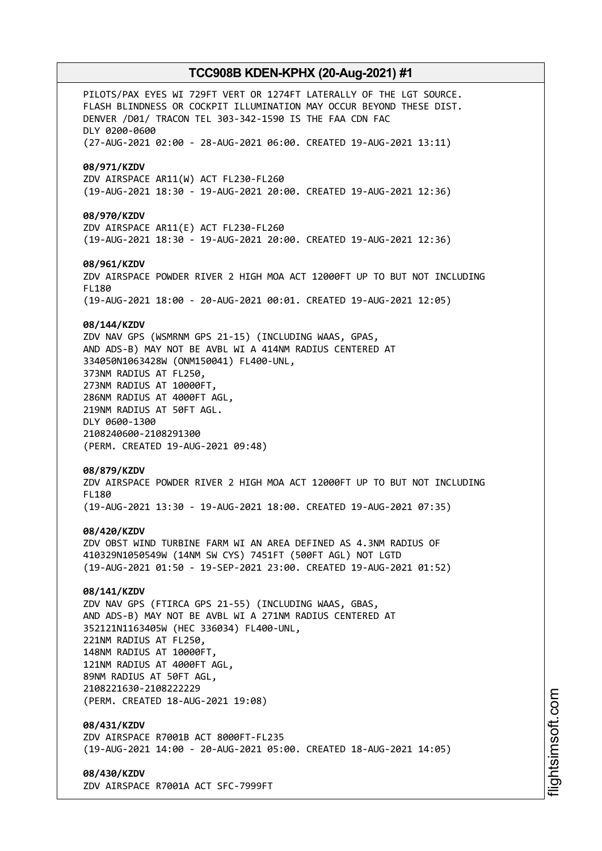PILOTS/PAX EYES WI 729FT VERT OR 1274FT LATERALLY OF THE LGT SOURCE. FLASH BLINDNESS OR COCKPIT ILLUMINATION MAY OCCUR BEYOND THESE DIST. DENVER /D01/ TRACON TEL 303-342-1590 IS THE FAA CDN FAC DLY 0200-0600 (27-AUG-2021 02:00 - 28-AUG-2021 06:00. CREATED 19-AUG-2021 13:11) **08/971/KZDV** ZDV AIRSPACE AR11(W) ACT FL230-FL260 (19-AUG-2021 18:30 - 19-AUG-2021 20:00. CREATED 19-AUG-2021 12:36) **08/970/KZDV** ZDV AIRSPACE AR11(E) ACT FL230-FL260 (19-AUG-2021 18:30 - 19-AUG-2021 20:00. CREATED 19-AUG-2021 12:36) **08/961/KZDV** ZDV AIRSPACE POWDER RIVER 2 HIGH MOA ACT 12000FT UP TO BUT NOT INCLUDING FL180 (19-AUG-2021 18:00 - 20-AUG-2021 00:01. CREATED 19-AUG-2021 12:05) **08/144/KZDV** ZDV NAV GPS (WSMRNM GPS 21-15) (INCLUDING WAAS, GPAS, AND ADS-B) MAY NOT BE AVBL WI A 414NM RADIUS CENTERED AT 334050N1063428W (ONM150041) FL400-UNL, 373NM RADIUS AT FL250, 273NM RADIUS AT 10000FT, 286NM RADIUS AT 4000FT AGL, 219NM RADIUS AT 50FT AGL. DLY 0600-1300 2108240600-2108291300 (PERM. CREATED 19-AUG-2021 09:48) **08/879/KZDV** ZDV AIRSPACE POWDER RIVER 2 HIGH MOA ACT 12000FT UP TO BUT NOT INCLUDING FL180 (19-AUG-2021 13:30 - 19-AUG-2021 18:00. CREATED 19-AUG-2021 07:35) **08/420/KZDV** ZDV OBST WIND TURBINE FARM WI AN AREA DEFINED AS 4.3NM RADIUS OF 410329N1050549W (14NM SW CYS) 7451FT (500FT AGL) NOT LGTD (19-AUG-2021 01:50 - 19-SEP-2021 23:00. CREATED 19-AUG-2021 01:52) **08/141/KZDV** ZDV NAV GPS (FTIRCA GPS 21-55) (INCLUDING WAAS, GBAS, AND ADS-B) MAY NOT BE AVBL WI A 271NM RADIUS CENTERED AT 352121N1163405W (HEC 336034) FL400-UNL, 221NM RADIUS AT FL250, 148NM RADIUS AT 10000FT, 121NM RADIUS AT 4000FT AGL, 89NM RADIUS AT 50FT AGL, 2108221630-2108222229 (PERM. CREATED 18-AUG-2021 19:08) **08/431/KZDV** ZDV AIRSPACE R7001B ACT 8000FT-FL235 (19-AUG-2021 14:00 - 20-AUG-2021 05:00. CREATED 18-AUG-2021 14:05) **08/430/KZDV**

ZDV AIRSPACE R7001A ACT SFC-7999FT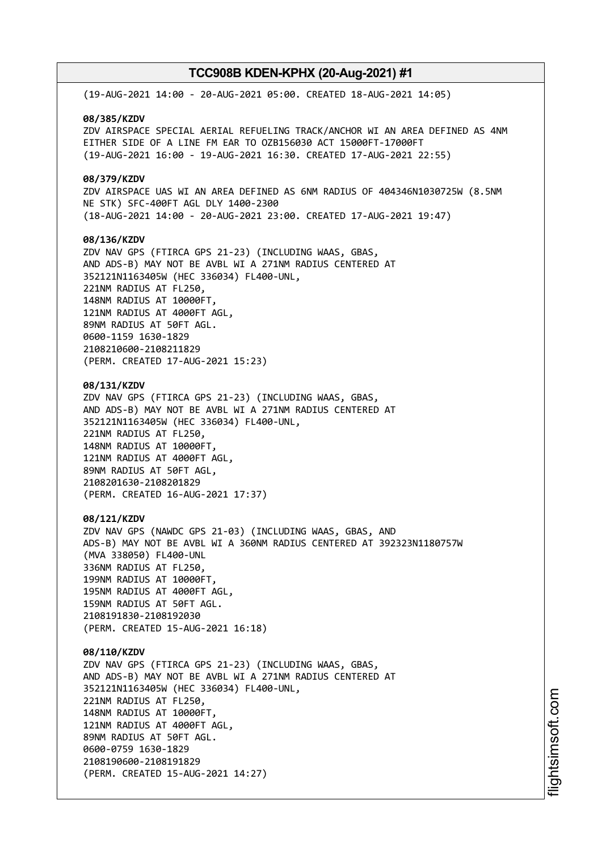(19-AUG-2021 14:00 - 20-AUG-2021 05:00. CREATED 18-AUG-2021 14:05) **08/385/KZDV** ZDV AIRSPACE SPECIAL AERIAL REFUELING TRACK/ANCHOR WI AN AREA DEFINED AS 4NM EITHER SIDE OF A LINE FM EAR TO OZB156030 ACT 15000FT-17000FT (19-AUG-2021 16:00 - 19-AUG-2021 16:30. CREATED 17-AUG-2021 22:55) **08/379/KZDV** ZDV AIRSPACE UAS WI AN AREA DEFINED AS 6NM RADIUS OF 404346N1030725W (8.5NM NE STK) SFC-400FT AGL DLY 1400-2300 (18-AUG-2021 14:00 - 20-AUG-2021 23:00. CREATED 17-AUG-2021 19:47) **08/136/KZDV** ZDV NAV GPS (FTIRCA GPS 21-23) (INCLUDING WAAS, GBAS, AND ADS-B) MAY NOT BE AVBL WI A 271NM RADIUS CENTERED AT 352121N1163405W (HEC 336034) FL400-UNL, 221NM RADIUS AT FL250, 148NM RADIUS AT 10000FT, 121NM RADIUS AT 4000FT AGL, 89NM RADIUS AT 50FT AGL. 0600-1159 1630-1829 2108210600-2108211829 (PERM. CREATED 17-AUG-2021 15:23) **08/131/KZDV** ZDV NAV GPS (FTIRCA GPS 21-23) (INCLUDING WAAS, GBAS, AND ADS-B) MAY NOT BE AVBL WI A 271NM RADIUS CENTERED AT 352121N1163405W (HEC 336034) FL400-UNL, 221NM RADIUS AT FL250, 148NM RADIUS AT 10000FT, 121NM RADIUS AT 4000FT AGL, 89NM RADIUS AT 50FT AGL, 2108201630-2108201829 (PERM. CREATED 16-AUG-2021 17:37) **08/121/KZDV** ZDV NAV GPS (NAWDC GPS 21-03) (INCLUDING WAAS, GBAS, AND ADS-B) MAY NOT BE AVBL WI A 360NM RADIUS CENTERED AT 392323N1180757W (MVA 338050) FL400-UNL 336NM RADIUS AT FL250, 199NM RADIUS AT 10000FT, 195NM RADIUS AT 4000FT AGL, 159NM RADIUS AT 50FT AGL. 2108191830-2108192030 (PERM. CREATED 15-AUG-2021 16:18) **08/110/KZDV** ZDV NAV GPS (FTIRCA GPS 21-23) (INCLUDING WAAS, GBAS, AND ADS-B) MAY NOT BE AVBL WI A 271NM RADIUS CENTERED AT 352121N1163405W (HEC 336034) FL400-UNL, 221NM RADIUS AT FL250, 148NM RADIUS AT 10000FT, 121NM RADIUS AT 4000FT AGL, 89NM RADIUS AT 50FT AGL. 0600-0759 1630-1829 2108190600-2108191829 (PERM. CREATED 15-AUG-2021 14:27)

i⊒<br>⊫ htsim soft.c o

m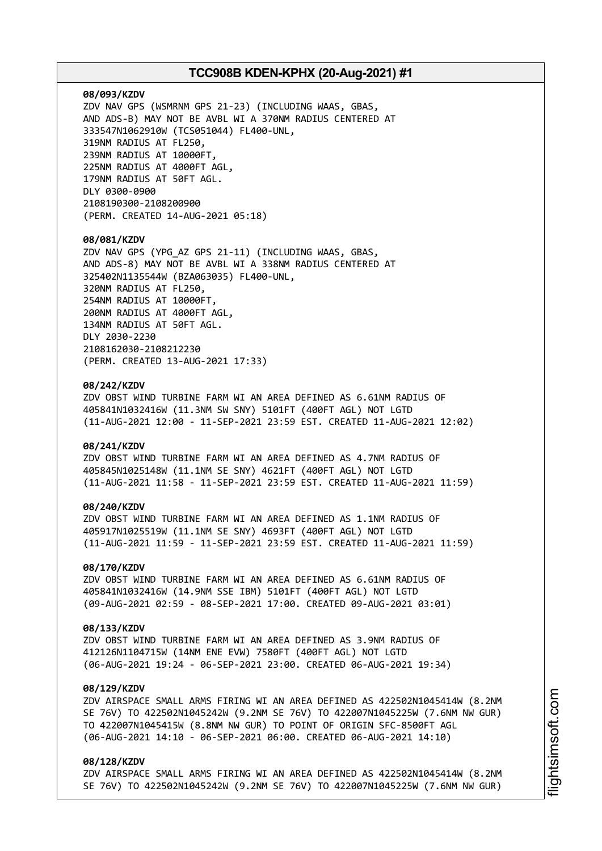#### **08/093/KZDV**

ZDV NAV GPS (WSMRNM GPS 21-23) (INCLUDING WAAS, GBAS, AND ADS-B) MAY NOT BE AVBL WI A 370NM RADIUS CENTERED AT 333547N1062910W (TCS051044) FL400-UNL, 319NM RADIUS AT FL250, 239NM RADIUS AT 10000FT, 225NM RADIUS AT 4000FT AGL, 179NM RADIUS AT 50FT AGL. DLY 0300-0900 2108190300-2108200900 (PERM. CREATED 14-AUG-2021 05:18)

#### **08/081/KZDV**

ZDV NAV GPS (YPG\_AZ GPS 21-11) (INCLUDING WAAS, GBAS, AND ADS-8) MAY NOT BE AVBL WI A 338NM RADIUS CENTERED AT 325402N1135544W (BZA063035) FL400-UNL, 320NM RADIUS AT FL250, 254NM RADIUS AT 10000FT, 200NM RADIUS AT 4000FT AGL, 134NM RADIUS AT 50FT AGL. DLY 2030-2230 2108162030-2108212230 (PERM. CREATED 13-AUG-2021 17:33)

### **08/242/KZDV**

ZDV OBST WIND TURBINE FARM WI AN AREA DEFINED AS 6.61NM RADIUS OF 405841N1032416W (11.3NM SW SNY) 5101FT (400FT AGL) NOT LGTD (11-AUG-2021 12:00 - 11-SEP-2021 23:59 EST. CREATED 11-AUG-2021 12:02)

#### **08/241/KZDV**

ZDV OBST WIND TURBINE FARM WI AN AREA DEFINED AS 4.7NM RADIUS OF 405845N1025148W (11.1NM SE SNY) 4621FT (400FT AGL) NOT LGTD (11-AUG-2021 11:58 - 11-SEP-2021 23:59 EST. CREATED 11-AUG-2021 11:59)

#### **08/240/KZDV**

ZDV OBST WIND TURBINE FARM WI AN AREA DEFINED AS 1.1NM RADIUS OF 405917N1025519W (11.1NM SE SNY) 4693FT (400FT AGL) NOT LGTD (11-AUG-2021 11:59 - 11-SEP-2021 23:59 EST. CREATED 11-AUG-2021 11:59)

#### **08/170/KZDV**

ZDV OBST WIND TURBINE FARM WI AN AREA DEFINED AS 6.61NM RADIUS OF 405841N1032416W (14.9NM SSE IBM) 5101FT (400FT AGL) NOT LGTD (09-AUG-2021 02:59 - 08-SEP-2021 17:00. CREATED 09-AUG-2021 03:01)

#### **08/133/KZDV**

ZDV OBST WIND TURBINE FARM WI AN AREA DEFINED AS 3.9NM RADIUS OF 412126N1104715W (14NM ENE EVW) 7580FT (400FT AGL) NOT LGTD (06-AUG-2021 19:24 - 06-SEP-2021 23:00. CREATED 06-AUG-2021 19:34)

### **08/129/KZDV**

ZDV AIRSPACE SMALL ARMS FIRING WI AN AREA DEFINED AS 422502N1045414W (8.2NM SE 76V) TO 422502N1045242W (9.2NM SE 76V) TO 422007N1045225W (7.6NM NW GUR) TO 422007N1045415W (8.8NM NW GUR) TO POINT OF ORIGIN SFC-8500FT AGL (06-AUG-2021 14:10 - 06-SEP-2021 06:00. CREATED 06-AUG-2021 14:10)

### **08/128/KZDV**

ZDV AIRSPACE SMALL ARMS FIRING WI AN AREA DEFINED AS 422502N1045414W (8.2NM SE 76V) TO 422502N1045242W (9.2NM SE 76V) TO 422007N1045225W (7.6NM NW GUR)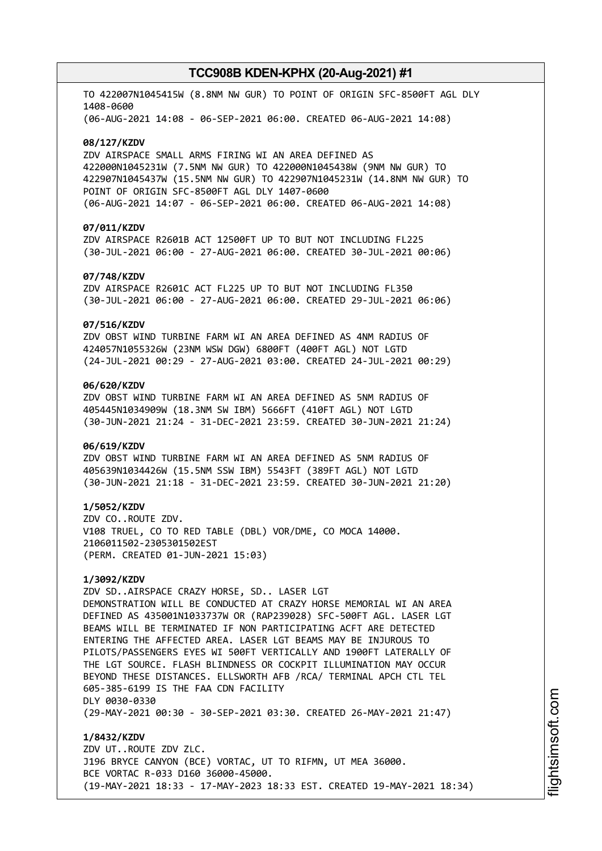TO 422007N1045415W (8.8NM NW GUR) TO POINT OF ORIGIN SFC-8500FT AGL DLY 1408-0600 (06-AUG-2021 14:08 - 06-SEP-2021 06:00. CREATED 06-AUG-2021 14:08)

#### **08/127/KZDV**

ZDV AIRSPACE SMALL ARMS FIRING WI AN AREA DEFINED AS 422000N1045231W (7.5NM NW GUR) TO 422000N1045438W (9NM NW GUR) TO 422907N1045437W (15.5NM NW GUR) TO 422907N1045231W (14.8NM NW GUR) TO POINT OF ORIGIN SFC-8500FT AGL DLY 1407-0600 (06-AUG-2021 14:07 - 06-SEP-2021 06:00. CREATED 06-AUG-2021 14:08)

#### **07/011/KZDV**

ZDV AIRSPACE R2601B ACT 12500FT UP TO BUT NOT INCLUDING FL225 (30-JUL-2021 06:00 - 27-AUG-2021 06:00. CREATED 30-JUL-2021 00:06)

#### **07/748/KZDV**

ZDV AIRSPACE R2601C ACT FL225 UP TO BUT NOT INCLUDING FL350 (30-JUL-2021 06:00 - 27-AUG-2021 06:00. CREATED 29-JUL-2021 06:06)

#### **07/516/KZDV**

ZDV OBST WIND TURBINE FARM WI AN AREA DEFINED AS 4NM RADIUS OF 424057N1055326W (23NM WSW DGW) 6800FT (400FT AGL) NOT LGTD (24-JUL-2021 00:29 - 27-AUG-2021 03:00. CREATED 24-JUL-2021 00:29)

### **06/620/KZDV**

ZDV OBST WIND TURBINE FARM WI AN AREA DEFINED AS 5NM RADIUS OF 405445N1034909W (18.3NM SW IBM) 5666FT (410FT AGL) NOT LGTD (30-JUN-2021 21:24 - 31-DEC-2021 23:59. CREATED 30-JUN-2021 21:24)

### **06/619/KZDV**

ZDV OBST WIND TURBINE FARM WI AN AREA DEFINED AS 5NM RADIUS OF 405639N1034426W (15.5NM SSW IBM) 5543FT (389FT AGL) NOT LGTD (30-JUN-2021 21:18 - 31-DEC-2021 23:59. CREATED 30-JUN-2021 21:20)

#### **1/5052/KZDV**

ZDV CO..ROUTE ZDV. V108 TRUEL, CO TO RED TABLE (DBL) VOR/DME, CO MOCA 14000. 2106011502-2305301502EST (PERM. CREATED 01-JUN-2021 15:03)

### **1/3092/KZDV**

ZDV SD..AIRSPACE CRAZY HORSE, SD.. LASER LGT DEMONSTRATION WILL BE CONDUCTED AT CRAZY HORSE MEMORIAL WI AN AREA DEFINED AS 435001N1033737W OR (RAP239028) SFC-500FT AGL. LASER LGT BEAMS WILL BE TERMINATED IF NON PARTICIPATING ACFT ARE DETECTED ENTERING THE AFFECTED AREA. LASER LGT BEAMS MAY BE INJUROUS TO PILOTS/PASSENGERS EYES WI 500FT VERTICALLY AND 1900FT LATERALLY OF THE LGT SOURCE. FLASH BLINDNESS OR COCKPIT ILLUMINATION MAY OCCUR BEYOND THESE DISTANCES. ELLSWORTH AFB /RCA/ TERMINAL APCH CTL TEL 605-385-6199 IS THE FAA CDN FACILITY DLY 0030-0330 (29-MAY-2021 00:30 - 30-SEP-2021 03:30. CREATED 26-MAY-2021 21:47)

**1/8432/KZDV** ZDV UT..ROUTE ZDV ZLC. J196 BRYCE CANYON (BCE) VORTAC, UT TO RIFMN, UT MEA 36000. BCE VORTAC R-033 D160 36000-45000. (19-MAY-2021 18:33 - 17-MAY-2023 18:33 EST. CREATED 19-MAY-2021 18:34)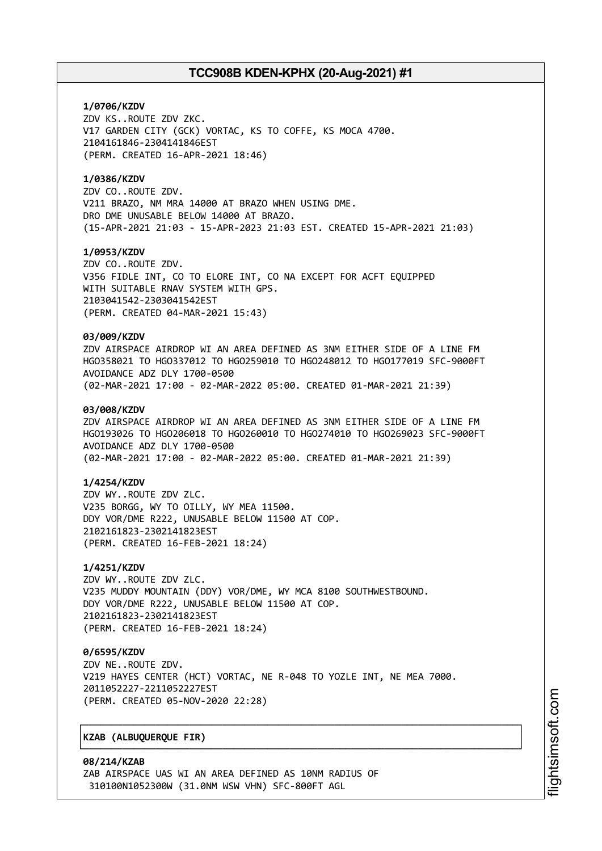### **1/0706/KZDV**

ZDV KS..ROUTE ZDV ZKC. V17 GARDEN CITY (GCK) VORTAC, KS TO COFFE, KS MOCA 4700. 2104161846-2304141846EST (PERM. CREATED 16-APR-2021 18:46)

### **1/0386/KZDV**

ZDV CO..ROUTE ZDV. V211 BRAZO, NM MRA 14000 AT BRAZO WHEN USING DME. DRO DME UNUSABLE BELOW 14000 AT BRAZO. (15-APR-2021 21:03 - 15-APR-2023 21:03 EST. CREATED 15-APR-2021 21:03)

### **1/0953/KZDV**

ZDV CO..ROUTE ZDV. V356 FIDLE INT, CO TO ELORE INT, CO NA EXCEPT FOR ACFT EQUIPPED WITH SUITABLE RNAV SYSTEM WITH GPS. 2103041542-2303041542EST (PERM. CREATED 04-MAR-2021 15:43)

#### **03/009/KZDV**

ZDV AIRSPACE AIRDROP WI AN AREA DEFINED AS 3NM EITHER SIDE OF A LINE FM HGO358021 TO HGO337012 TO HGO259010 TO HGO248012 TO HGO177019 SFC-9000FT AVOIDANCE ADZ DLY 1700-0500 (02-MAR-2021 17:00 - 02-MAR-2022 05:00. CREATED 01-MAR-2021 21:39)

#### **03/008/KZDV**

ZDV AIRSPACE AIRDROP WI AN AREA DEFINED AS 3NM EITHER SIDE OF A LINE FM HGO193026 TO HGO206018 TO HGO260010 TO HGO274010 TO HGO269023 SFC-9000FT AVOIDANCE ADZ DLY 1700-0500 (02-MAR-2021 17:00 - 02-MAR-2022 05:00. CREATED 01-MAR-2021 21:39)

### **1/4254/KZDV**

ZDV WY..ROUTE ZDV ZLC. V235 BORGG, WY TO OILLY, WY MEA 11500. DDY VOR/DME R222, UNUSABLE BELOW 11500 AT COP. 2102161823-2302141823EST (PERM. CREATED 16-FEB-2021 18:24)

#### **1/4251/KZDV**

ZDV WY..ROUTE ZDV ZLC. V235 MUDDY MOUNTAIN (DDY) VOR/DME, WY MCA 8100 SOUTHWESTBOUND. DDY VOR/DME R222, UNUSABLE BELOW 11500 AT COP. 2102161823-2302141823EST (PERM. CREATED 16-FEB-2021 18:24)

### **0/6595/KZDV**

ZDV NE..ROUTE ZDV. V219 HAYES CENTER (HCT) VORTAC, NE R-048 TO YOZLE INT, NE MEA 7000. 2011052227-2211052227EST (PERM. CREATED 05-NOV-2020 22:28)

┌──────────────────────────────────────────────────────────────────────────────┐

└──────────────────────────────────────────────────────────────────────────────┘

### │**KZAB (ALBUQUERQUE FIR)** │

**08/214/KZAB** ZAB AIRSPACE UAS WI AN AREA DEFINED AS 10NM RADIUS OF 310100N1052300W (31.0NM WSW VHN) SFC-800FT AGL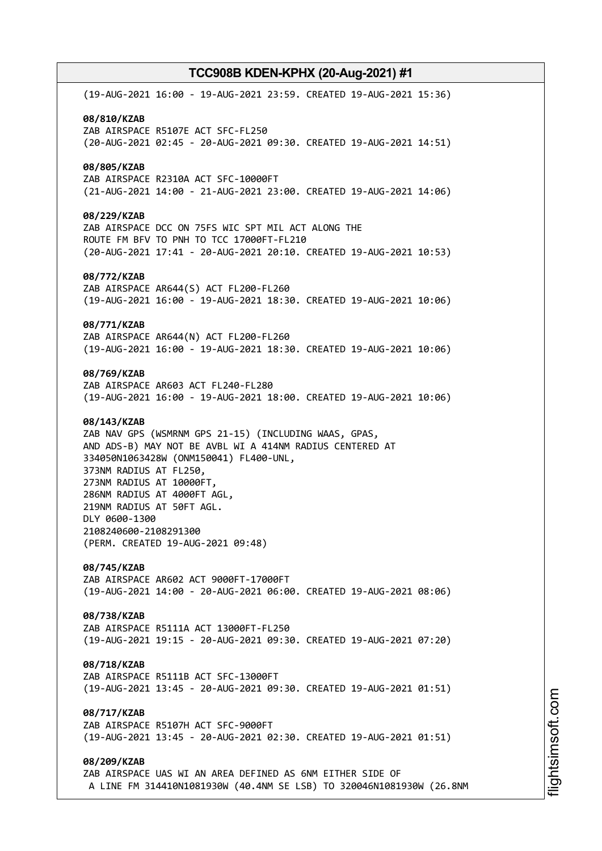(19-AUG-2021 16:00 - 19-AUG-2021 23:59. CREATED 19-AUG-2021 15:36) **08/810/KZAB** ZAB AIRSPACE R5107E ACT SFC-FL250 (20-AUG-2021 02:45 - 20-AUG-2021 09:30. CREATED 19-AUG-2021 14:51) **08/805/KZAB** ZAB AIRSPACE R2310A ACT SFC-10000FT (21-AUG-2021 14:00 - 21-AUG-2021 23:00. CREATED 19-AUG-2021 14:06) **08/229/KZAB** ZAB AIRSPACE DCC ON 75FS WIC SPT MIL ACT ALONG THE ROUTE FM BFV TO PNH TO TCC 17000FT-FL210 (20-AUG-2021 17:41 - 20-AUG-2021 20:10. CREATED 19-AUG-2021 10:53) **08/772/KZAB** ZAB AIRSPACE AR644(S) ACT FL200-FL260 (19-AUG-2021 16:00 - 19-AUG-2021 18:30. CREATED 19-AUG-2021 10:06) **08/771/KZAB** ZAB AIRSPACE AR644(N) ACT FL200-FL260 (19-AUG-2021 16:00 - 19-AUG-2021 18:30. CREATED 19-AUG-2021 10:06) **08/769/KZAB** ZAB AIRSPACE AR603 ACT FL240-FL280 (19-AUG-2021 16:00 - 19-AUG-2021 18:00. CREATED 19-AUG-2021 10:06) **08/143/KZAB** ZAB NAV GPS (WSMRNM GPS 21-15) (INCLUDING WAAS, GPAS, AND ADS-B) MAY NOT BE AVBL WI A 414NM RADIUS CENTERED AT 334050N1063428W (ONM150041) FL400-UNL, 373NM RADIUS AT FL250, 273NM RADIUS AT 10000FT, 286NM RADIUS AT 4000FT AGL, 219NM RADIUS AT 50FT AGL. DLY 0600-1300 2108240600-2108291300 (PERM. CREATED 19-AUG-2021 09:48) **08/745/KZAB** ZAB AIRSPACE AR602 ACT 9000FT-17000FT (19-AUG-2021 14:00 - 20-AUG-2021 06:00. CREATED 19-AUG-2021 08:06) **08/738/KZAB** ZAB AIRSPACE R5111A ACT 13000FT-FL250 (19-AUG-2021 19:15 - 20-AUG-2021 09:30. CREATED 19-AUG-2021 07:20) **08/718/KZAB** ZAB AIRSPACE R5111B ACT SFC-13000FT (19-AUG-2021 13:45 - 20-AUG-2021 09:30. CREATED 19-AUG-2021 01:51) **08/717/KZAB** ZAB AIRSPACE R5107H ACT SFC-9000FT (19-AUG-2021 13:45 - 20-AUG-2021 02:30. CREATED 19-AUG-2021 01:51) **08/209/KZAB** ZAB AIRSPACE UAS WI AN AREA DEFINED AS 6NM EITHER SIDE OF A LINE FM 314410N1081930W (40.4NM SE LSB) TO 320046N1081930W (26.8NM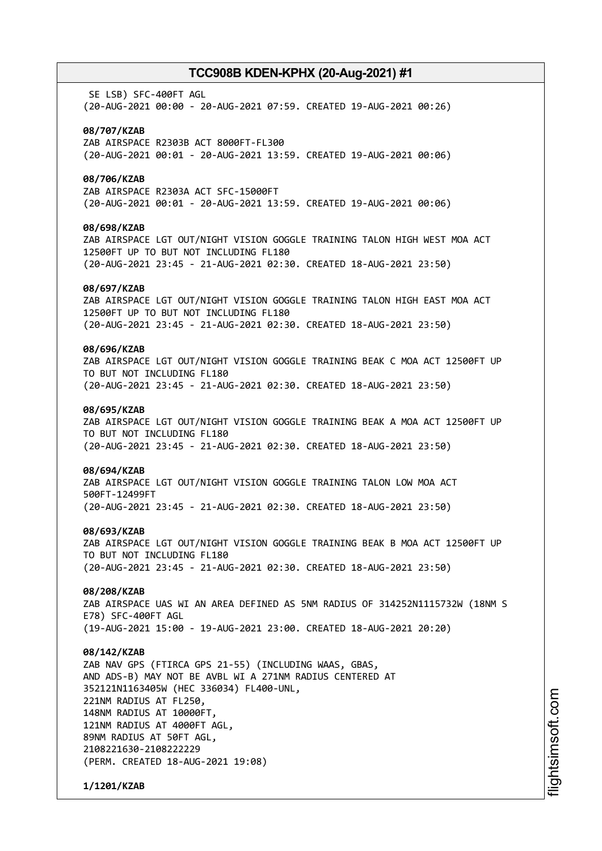SE LSB) SFC-400FT AGL (20-AUG-2021 00:00 - 20-AUG-2021 07:59. CREATED 19-AUG-2021 00:26)

#### **08/707/KZAB**

ZAB AIRSPACE R2303B ACT 8000FT-FL300 (20-AUG-2021 00:01 - 20-AUG-2021 13:59. CREATED 19-AUG-2021 00:06)

### **08/706/KZAB**

ZAB AIRSPACE R2303A ACT SFC-15000FT (20-AUG-2021 00:01 - 20-AUG-2021 13:59. CREATED 19-AUG-2021 00:06)

#### **08/698/KZAB**

ZAB AIRSPACE LGT OUT/NIGHT VISION GOGGLE TRAINING TALON HIGH WEST MOA ACT 12500FT UP TO BUT NOT INCLUDING FL180 (20-AUG-2021 23:45 - 21-AUG-2021 02:30. CREATED 18-AUG-2021 23:50)

#### **08/697/KZAB**

ZAB AIRSPACE LGT OUT/NIGHT VISION GOGGLE TRAINING TALON HIGH EAST MOA ACT 12500FT UP TO BUT NOT INCLUDING FL180 (20-AUG-2021 23:45 - 21-AUG-2021 02:30. CREATED 18-AUG-2021 23:50)

### **08/696/KZAB**

ZAB AIRSPACE LGT OUT/NIGHT VISION GOGGLE TRAINING BEAK C MOA ACT 12500FT UP TO BUT NOT INCLUDING FL180 (20-AUG-2021 23:45 - 21-AUG-2021 02:30. CREATED 18-AUG-2021 23:50)

#### **08/695/KZAB**

ZAB AIRSPACE LGT OUT/NIGHT VISION GOGGLE TRAINING BEAK A MOA ACT 12500FT UP TO BUT NOT INCLUDING FL180 (20-AUG-2021 23:45 - 21-AUG-2021 02:30. CREATED 18-AUG-2021 23:50)

#### **08/694/KZAB**

ZAB AIRSPACE LGT OUT/NIGHT VISION GOGGLE TRAINING TALON LOW MOA ACT 500FT-12499FT (20-AUG-2021 23:45 - 21-AUG-2021 02:30. CREATED 18-AUG-2021 23:50)

#### **08/693/KZAB**

ZAB AIRSPACE LGT OUT/NIGHT VISION GOGGLE TRAINING BEAK B MOA ACT 12500FT UP TO BUT NOT INCLUDING FL180 (20-AUG-2021 23:45 - 21-AUG-2021 02:30. CREATED 18-AUG-2021 23:50)

### **08/208/KZAB**

ZAB AIRSPACE UAS WI AN AREA DEFINED AS 5NM RADIUS OF 314252N1115732W (18NM S E78) SFC-400FT AGL (19-AUG-2021 15:00 - 19-AUG-2021 23:00. CREATED 18-AUG-2021 20:20)

#### **08/142/KZAB**

ZAB NAV GPS (FTIRCA GPS 21-55) (INCLUDING WAAS, GBAS, AND ADS-B) MAY NOT BE AVBL WI A 271NM RADIUS CENTERED AT 352121N1163405W (HEC 336034) FL400-UNL, 221NM RADIUS AT FL250, 148NM RADIUS AT 10000FT, 121NM RADIUS AT 4000FT AGL, 89NM RADIUS AT 50FT AGL, 2108221630-2108222229 (PERM. CREATED 18-AUG-2021 19:08)

**1/1201/KZAB**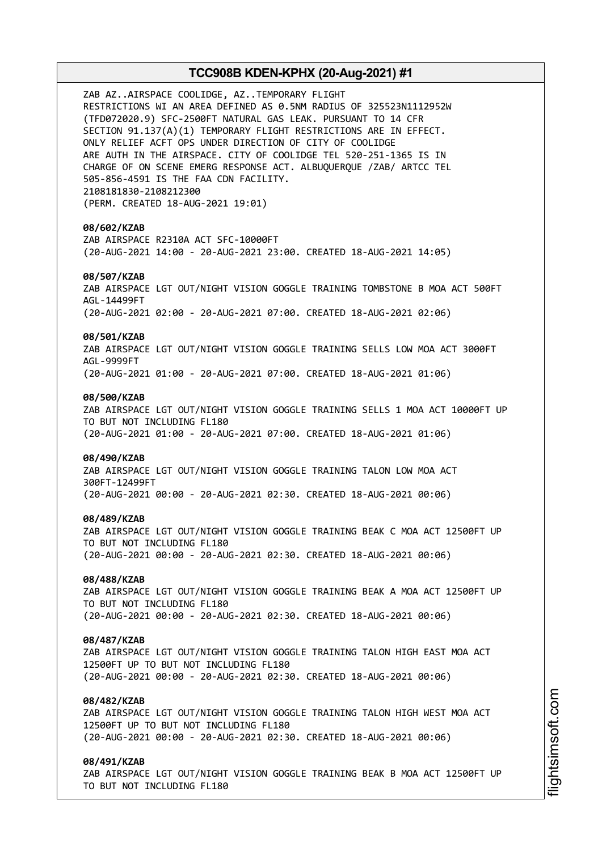ZAB AZ..AIRSPACE COOLIDGE, AZ..TEMPORARY FLIGHT RESTRICTIONS WI AN AREA DEFINED AS 0.5NM RADIUS OF 325523N1112952W (TFD072020.9) SFC-2500FT NATURAL GAS LEAK. PURSUANT TO 14 CFR SECTION 91.137(A)(1) TEMPORARY FLIGHT RESTRICTIONS ARE IN EFFECT. ONLY RELIEF ACFT OPS UNDER DIRECTION OF CITY OF COOLIDGE ARE AUTH IN THE AIRSPACE. CITY OF COOLIDGE TEL 520-251-1365 IS IN CHARGE OF ON SCENE EMERG RESPONSE ACT. ALBUQUERQUE /ZAB/ ARTCC TEL 505-856-4591 IS THE FAA CDN FACILITY. 2108181830-2108212300 (PERM. CREATED 18-AUG-2021 19:01) **08/602/KZAB** ZAB AIRSPACE R2310A ACT SFC-10000FT (20-AUG-2021 14:00 - 20-AUG-2021 23:00. CREATED 18-AUG-2021 14:05) **08/507/KZAB** ZAB AIRSPACE LGT OUT/NIGHT VISION GOGGLE TRAINING TOMBSTONE B MOA ACT 500FT AGL-14499FT (20-AUG-2021 02:00 - 20-AUG-2021 07:00. CREATED 18-AUG-2021 02:06) **08/501/KZAB** ZAB AIRSPACE LGT OUT/NIGHT VISION GOGGLE TRAINING SELLS LOW MOA ACT 3000FT AGL-9999FT (20-AUG-2021 01:00 - 20-AUG-2021 07:00. CREATED 18-AUG-2021 01:06) **08/500/KZAB** ZAB AIRSPACE LGT OUT/NIGHT VISION GOGGLE TRAINING SELLS 1 MOA ACT 10000FT UP TO BUT NOT INCLUDING FL180 (20-AUG-2021 01:00 - 20-AUG-2021 07:00. CREATED 18-AUG-2021 01:06) **08/490/KZAB** ZAB AIRSPACE LGT OUT/NIGHT VISION GOGGLE TRAINING TALON LOW MOA ACT 300FT-12499FT (20-AUG-2021 00:00 - 20-AUG-2021 02:30. CREATED 18-AUG-2021 00:06) **08/489/KZAB** ZAB AIRSPACE LGT OUT/NIGHT VISION GOGGLE TRAINING BEAK C MOA ACT 12500FT UP TO BUT NOT INCLUDING FL180 (20-AUG-2021 00:00 - 20-AUG-2021 02:30. CREATED 18-AUG-2021 00:06) **08/488/KZAB** ZAB AIRSPACE LGT OUT/NIGHT VISION GOGGLE TRAINING BEAK A MOA ACT 12500FT UP TO BUT NOT INCLUDING FL180 (20-AUG-2021 00:00 - 20-AUG-2021 02:30. CREATED 18-AUG-2021 00:06) **08/487/KZAB** ZAB AIRSPACE LGT OUT/NIGHT VISION GOGGLE TRAINING TALON HIGH EAST MOA ACT 12500FT UP TO BUT NOT INCLUDING FL180 (20-AUG-2021 00:00 - 20-AUG-2021 02:30. CREATED 18-AUG-2021 00:06) **08/482/KZAB** ZAB AIRSPACE LGT OUT/NIGHT VISION GOGGLE TRAINING TALON HIGH WEST MOA ACT 12500FT UP TO BUT NOT INCLUDING FL180 (20-AUG-2021 00:00 - 20-AUG-2021 02:30. CREATED 18-AUG-2021 00:06) **08/491/KZAB** ZAB AIRSPACE LGT OUT/NIGHT VISION GOGGLE TRAINING BEAK B MOA ACT 12500FT UP

TO BUT NOT INCLUDING FL180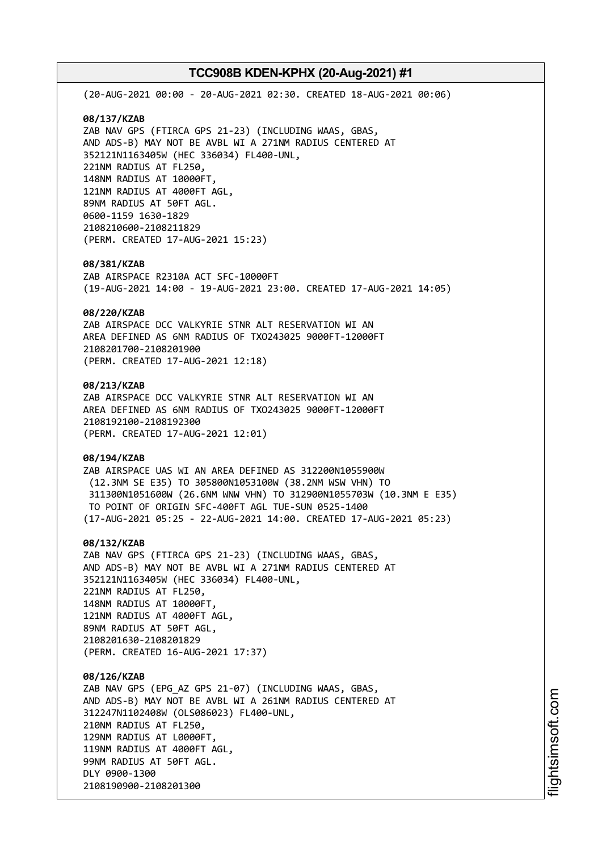(20-AUG-2021 00:00 - 20-AUG-2021 02:30. CREATED 18-AUG-2021 00:06) **08/137/KZAB** ZAB NAV GPS (FTIRCA GPS 21-23) (INCLUDING WAAS, GBAS, AND ADS-B) MAY NOT BE AVBL WI A 271NM RADIUS CENTERED AT 352121N1163405W (HEC 336034) FL400-UNL, 221NM RADIUS AT FL250, 148NM RADIUS AT 10000FT, 121NM RADIUS AT 4000FT AGL, 89NM RADIUS AT 50FT AGL. 0600-1159 1630-1829 2108210600-2108211829 (PERM. CREATED 17-AUG-2021 15:23) **08/381/KZAB** ZAB AIRSPACE R2310A ACT SFC-10000FT (19-AUG-2021 14:00 - 19-AUG-2021 23:00. CREATED 17-AUG-2021 14:05) **08/220/KZAB** ZAB AIRSPACE DCC VALKYRIE STNR ALT RESERVATION WI AN AREA DEFINED AS 6NM RADIUS OF TXO243025 9000FT-12000FT 2108201700-2108201900 (PERM. CREATED 17-AUG-2021 12:18) **08/213/KZAB** ZAB AIRSPACE DCC VALKYRIE STNR ALT RESERVATION WI AN AREA DEFINED AS 6NM RADIUS OF TXO243025 9000FT-12000FT 2108192100-2108192300 (PERM. CREATED 17-AUG-2021 12:01) **08/194/KZAB** ZAB AIRSPACE UAS WI AN AREA DEFINED AS 312200N1055900W (12.3NM SE E35) TO 305800N1053100W (38.2NM WSW VHN) TO 311300N1051600W (26.6NM WNW VHN) TO 312900N1055703W (10.3NM E E35) TO POINT OF ORIGIN SFC-400FT AGL TUE-SUN 0525-1400 (17-AUG-2021 05:25 - 22-AUG-2021 14:00. CREATED 17-AUG-2021 05:23) **08/132/KZAB** ZAB NAV GPS (FTIRCA GPS 21-23) (INCLUDING WAAS, GBAS, AND ADS-B) MAY NOT BE AVBL WI A 271NM RADIUS CENTERED AT 352121N1163405W (HEC 336034) FL400-UNL, 221NM RADIUS AT FL250, 148NM RADIUS AT 10000FT, 121NM RADIUS AT 4000FT AGL, 89NM RADIUS AT 50FT AGL, 2108201630-2108201829 (PERM. CREATED 16-AUG-2021 17:37) **08/126/KZAB** ZAB NAV GPS (EPG\_AZ GPS 21-07) (INCLUDING WAAS, GBAS, AND ADS-B) MAY NOT BE AVBL WI A 261NM RADIUS CENTERED AT 312247N1102408W (OLS086023) FL400-UNL, 210NM RADIUS AT FL250, 129NM RADIUS AT L0000FT, 119NM RADIUS AT 4000FT AGL,

99NM RADIUS AT 50FT AGL.

2108190900-2108201300

DLY 0900-1300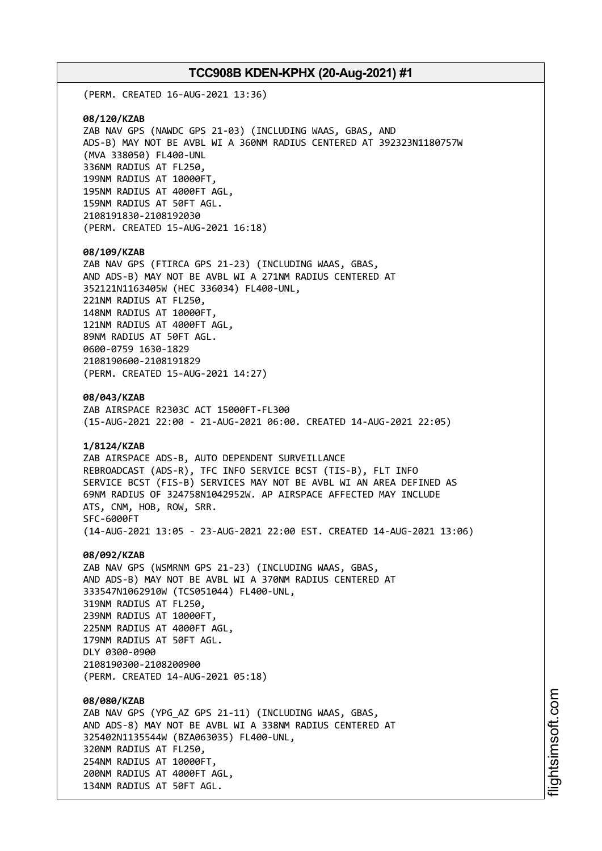(PERM. CREATED 16-AUG-2021 13:36)

**08/120/KZAB** ZAB NAV GPS (NAWDC GPS 21-03) (INCLUDING WAAS, GBAS, AND ADS-B) MAY NOT BE AVBL WI A 360NM RADIUS CENTERED AT 392323N1180757W (MVA 338050) FL400-UNL 336NM RADIUS AT FL250, 199NM RADIUS AT 10000FT, 195NM RADIUS AT 4000FT AGL, 159NM RADIUS AT 50FT AGL. 2108191830-2108192030 (PERM. CREATED 15-AUG-2021 16:18)

#### **08/109/KZAB**

ZAB NAV GPS (FTIRCA GPS 21-23) (INCLUDING WAAS, GBAS, AND ADS-B) MAY NOT BE AVBL WI A 271NM RADIUS CENTERED AT 352121N1163405W (HEC 336034) FL400-UNL, 221NM RADIUS AT FL250, 148NM RADIUS AT 10000FT, 121NM RADIUS AT 4000FT AGL, 89NM RADIUS AT 50FT AGL. 0600-0759 1630-1829 2108190600-2108191829 (PERM. CREATED 15-AUG-2021 14:27)

**08/043/KZAB**

ZAB AIRSPACE R2303C ACT 15000FT-FL300 (15-AUG-2021 22:00 - 21-AUG-2021 06:00. CREATED 14-AUG-2021 22:05)

### **1/8124/KZAB**

ZAB AIRSPACE ADS-B, AUTO DEPENDENT SURVEILLANCE REBROADCAST (ADS-R), TFC INFO SERVICE BCST (TIS-B), FLT INFO SERVICE BCST (FIS-B) SERVICES MAY NOT BE AVBL WI AN AREA DEFINED AS 69NM RADIUS OF 324758N1042952W. AP AIRSPACE AFFECTED MAY INCLUDE ATS, CNM, HOB, ROW, SRR. SFC-6000FT (14-AUG-2021 13:05 - 23-AUG-2021 22:00 EST. CREATED 14-AUG-2021 13:06)

#### **08/092/KZAB**

ZAB NAV GPS (WSMRNM GPS 21-23) (INCLUDING WAAS, GBAS, AND ADS-B) MAY NOT BE AVBL WI A 370NM RADIUS CENTERED AT 333547N1062910W (TCS051044) FL400-UNL, 319NM RADIUS AT FL250, 239NM RADIUS AT 10000FT, 225NM RADIUS AT 4000FT AGL, 179NM RADIUS AT 50FT AGL. DLY 0300-0900 2108190300-2108200900 (PERM. CREATED 14-AUG-2021 05:18)

#### **08/080/KZAB**

ZAB NAV GPS (YPG\_AZ GPS 21-11) (INCLUDING WAAS, GBAS, AND ADS-8) MAY NOT BE AVBL WI A 338NM RADIUS CENTERED AT 325402N1135544W (BZA063035) FL400-UNL, 320NM RADIUS AT FL250, 254NM RADIUS AT 10000FT, 200NM RADIUS AT 4000FT AGL, 134NM RADIUS AT 50FT AGL.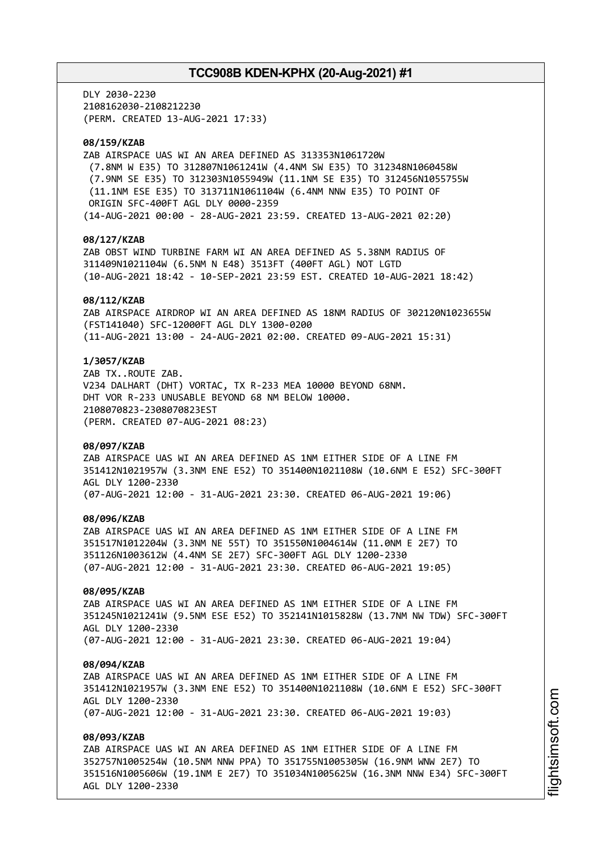DLY 2030-2230 2108162030-2108212230 (PERM. CREATED 13-AUG-2021 17:33)

### **08/159/KZAB**

ZAB AIRSPACE UAS WI AN AREA DEFINED AS 313353N1061720W (7.8NM W E35) TO 312807N1061241W (4.4NM SW E35) TO 312348N1060458W (7.9NM SE E35) TO 312303N1055949W (11.1NM SE E35) TO 312456N1055755W (11.1NM ESE E35) TO 313711N1061104W (6.4NM NNW E35) TO POINT OF ORIGIN SFC-400FT AGL DLY 0000-2359 (14-AUG-2021 00:00 - 28-AUG-2021 23:59. CREATED 13-AUG-2021 02:20)

### **08/127/KZAB**

ZAB OBST WIND TURBINE FARM WI AN AREA DEFINED AS 5.38NM RADIUS OF 311409N1021104W (6.5NM N E48) 3513FT (400FT AGL) NOT LGTD (10-AUG-2021 18:42 - 10-SEP-2021 23:59 EST. CREATED 10-AUG-2021 18:42)

#### **08/112/KZAB**

ZAB AIRSPACE AIRDROP WI AN AREA DEFINED AS 18NM RADIUS OF 302120N1023655W (FST141040) SFC-12000FT AGL DLY 1300-0200 (11-AUG-2021 13:00 - 24-AUG-2021 02:00. CREATED 09-AUG-2021 15:31)

### **1/3057/KZAB**

ZAB TX..ROUTE ZAB. V234 DALHART (DHT) VORTAC, TX R-233 MEA 10000 BEYOND 68NM. DHT VOR R-233 UNUSABLE BEYOND 68 NM BELOW 10000. 2108070823-2308070823EST (PERM. CREATED 07-AUG-2021 08:23)

#### **08/097/KZAB**

ZAB AIRSPACE UAS WI AN AREA DEFINED AS 1NM EITHER SIDE OF A LINE FM 351412N1021957W (3.3NM ENE E52) TO 351400N1021108W (10.6NM E E52) SFC-300FT AGL DLY 1200-2330 (07-AUG-2021 12:00 - 31-AUG-2021 23:30. CREATED 06-AUG-2021 19:06)

#### **08/096/KZAB**

ZAB AIRSPACE UAS WI AN AREA DEFINED AS 1NM EITHER SIDE OF A LINE FM 351517N1012204W (3.3NM NE 55T) TO 351550N1004614W (11.0NM E 2E7) TO 351126N1003612W (4.4NM SE 2E7) SFC-300FT AGL DLY 1200-2330 (07-AUG-2021 12:00 - 31-AUG-2021 23:30. CREATED 06-AUG-2021 19:05)

### **08/095/KZAB**

ZAB AIRSPACE UAS WI AN AREA DEFINED AS 1NM EITHER SIDE OF A LINE FM 351245N1021241W (9.5NM ESE E52) TO 352141N1015828W (13.7NM NW TDW) SFC-300FT AGL DLY 1200-2330 (07-AUG-2021 12:00 - 31-AUG-2021 23:30. CREATED 06-AUG-2021 19:04)

#### **08/094/KZAB**

ZAB AIRSPACE UAS WI AN AREA DEFINED AS 1NM EITHER SIDE OF A LINE FM 351412N1021957W (3.3NM ENE E52) TO 351400N1021108W (10.6NM E E52) SFC-300FT AGL DLY 1200-2330 (07-AUG-2021 12:00 - 31-AUG-2021 23:30. CREATED 06-AUG-2021 19:03)

#### **08/093/KZAB**

ZAB AIRSPACE UAS WI AN AREA DEFINED AS 1NM EITHER SIDE OF A LINE FM 352757N1005254W (10.5NM NNW PPA) TO 351755N1005305W (16.9NM WNW 2E7) TO 351516N1005606W (19.1NM E 2E7) TO 351034N1005625W (16.3NM NNW E34) SFC-300FT AGL DLY 1200-2330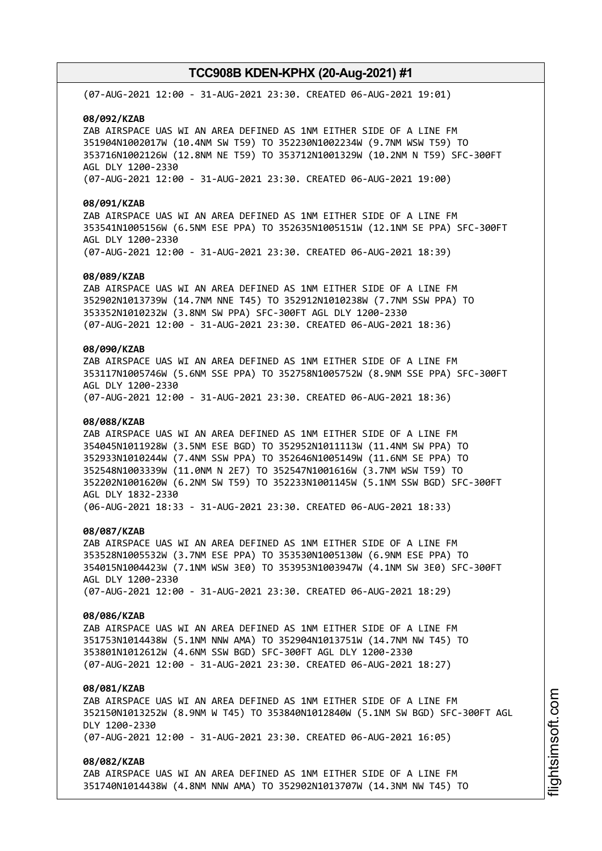(07-AUG-2021 12:00 - 31-AUG-2021 23:30. CREATED 06-AUG-2021 19:01)

**08/092/KZAB**

ZAB AIRSPACE UAS WI AN AREA DEFINED AS 1NM EITHER SIDE OF A LINE FM 351904N1002017W (10.4NM SW T59) TO 352230N1002234W (9.7NM WSW T59) TO 353716N1002126W (12.8NM NE T59) TO 353712N1001329W (10.2NM N T59) SFC-300FT AGL DLY 1200-2330 (07-AUG-2021 12:00 - 31-AUG-2021 23:30. CREATED 06-AUG-2021 19:00)

**08/091/KZAB**

ZAB AIRSPACE UAS WI AN AREA DEFINED AS 1NM EITHER SIDE OF A LINE FM 353541N1005156W (6.5NM ESE PPA) TO 352635N1005151W (12.1NM SE PPA) SFC-300FT AGL DLY 1200-2330 (07-AUG-2021 12:00 - 31-AUG-2021 23:30. CREATED 06-AUG-2021 18:39)

#### **08/089/KZAB**

ZAB AIRSPACE UAS WI AN AREA DEFINED AS 1NM EITHER SIDE OF A LINE FM 352902N1013739W (14.7NM NNE T45) TO 352912N1010238W (7.7NM SSW PPA) TO 353352N1010232W (3.8NM SW PPA) SFC-300FT AGL DLY 1200-2330 (07-AUG-2021 12:00 - 31-AUG-2021 23:30. CREATED 06-AUG-2021 18:36)

### **08/090/KZAB**

ZAB AIRSPACE UAS WI AN AREA DEFINED AS 1NM EITHER SIDE OF A LINE FM 353117N1005746W (5.6NM SSE PPA) TO 352758N1005752W (8.9NM SSE PPA) SFC-300FT AGL DLY 1200-2330 (07-AUG-2021 12:00 - 31-AUG-2021 23:30. CREATED 06-AUG-2021 18:36)

### **08/088/KZAB**

ZAB AIRSPACE UAS WI AN AREA DEFINED AS 1NM EITHER SIDE OF A LINE FM 354045N1011928W (3.5NM ESE BGD) TO 352952N1011113W (11.4NM SW PPA) TO 352933N1010244W (7.4NM SSW PPA) TO 352646N1005149W (11.6NM SE PPA) TO 352548N1003339W (11.0NM N 2E7) TO 352547N1001616W (3.7NM WSW T59) TO 352202N1001620W (6.2NM SW T59) TO 352233N1001145W (5.1NM SSW BGD) SFC-300FT AGL DLY 1832-2330 (06-AUG-2021 18:33 - 31-AUG-2021 23:30. CREATED 06-AUG-2021 18:33)

### **08/087/KZAB**

ZAB AIRSPACE UAS WI AN AREA DEFINED AS 1NM EITHER SIDE OF A LINE FM 353528N1005532W (3.7NM ESE PPA) TO 353530N1005130W (6.9NM ESE PPA) TO 354015N1004423W (7.1NM WSW 3E0) TO 353953N1003947W (4.1NM SW 3E0) SFC-300FT AGL DLY 1200-2330 (07-AUG-2021 12:00 - 31-AUG-2021 23:30. CREATED 06-AUG-2021 18:29)

## **08/086/KZAB**

ZAB AIRSPACE UAS WI AN AREA DEFINED AS 1NM EITHER SIDE OF A LINE FM 351753N1014438W (5.1NM NNW AMA) TO 352904N1013751W (14.7NM NW T45) TO 353801N1012612W (4.6NM SSW BGD) SFC-300FT AGL DLY 1200-2330 (07-AUG-2021 12:00 - 31-AUG-2021 23:30. CREATED 06-AUG-2021 18:27)

### **08/081/KZAB**

ZAB AIRSPACE UAS WI AN AREA DEFINED AS 1NM EITHER SIDE OF A LINE FM 352150N1013252W (8.9NM W T45) TO 353840N1012840W (5.1NM SW BGD) SFC-300FT AGL DLY 1200-2330 (07-AUG-2021 12:00 - 31-AUG-2021 23:30. CREATED 06-AUG-2021 16:05)

### **08/082/KZAB**

ZAB AIRSPACE UAS WI AN AREA DEFINED AS 1NM EITHER SIDE OF A LINE FM 351740N1014438W (4.8NM NNW AMA) TO 352902N1013707W (14.3NM NW T45) TO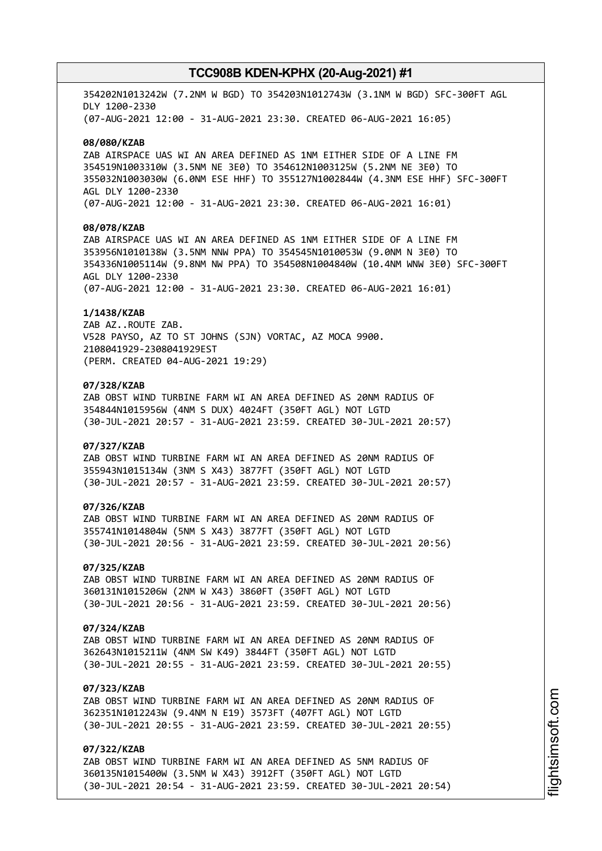354202N1013242W (7.2NM W BGD) TO 354203N1012743W (3.1NM W BGD) SFC-300FT AGL DLY 1200-2330 (07-AUG-2021 12:00 - 31-AUG-2021 23:30. CREATED 06-AUG-2021 16:05)

#### **08/080/KZAB**

ZAB AIRSPACE UAS WI AN AREA DEFINED AS 1NM EITHER SIDE OF A LINE FM 354519N1003310W (3.5NM NE 3E0) TO 354612N1003125W (5.2NM NE 3E0) TO 355032N1003030W (6.0NM ESE HHF) TO 355127N1002844W (4.3NM ESE HHF) SFC-300FT AGL DLY 1200-2330 (07-AUG-2021 12:00 - 31-AUG-2021 23:30. CREATED 06-AUG-2021 16:01)

## **08/078/KZAB**

ZAB AIRSPACE UAS WI AN AREA DEFINED AS 1NM EITHER SIDE OF A LINE FM 353956N1010138W (3.5NM NNW PPA) TO 354545N1010053W (9.0NM N 3E0) TO 354336N1005114W (9.8NM NW PPA) TO 354508N1004840W (10.4NM WNW 3E0) SFC-300FT AGL DLY 1200-2330 (07-AUG-2021 12:00 - 31-AUG-2021 23:30. CREATED 06-AUG-2021 16:01)

#### **1/1438/KZAB**

ZAB AZ..ROUTE ZAB. V528 PAYSO, AZ TO ST JOHNS (SJN) VORTAC, AZ MOCA 9900. 2108041929-2308041929EST (PERM. CREATED 04-AUG-2021 19:29)

### **07/328/KZAB**

ZAB OBST WIND TURBINE FARM WI AN AREA DEFINED AS 20NM RADIUS OF 354844N1015956W (4NM S DUX) 4024FT (350FT AGL) NOT LGTD (30-JUL-2021 20:57 - 31-AUG-2021 23:59. CREATED 30-JUL-2021 20:57)

#### **07/327/KZAB**

ZAB OBST WIND TURBINE FARM WI AN AREA DEFINED AS 20NM RADIUS OF 355943N1015134W (3NM S X43) 3877FT (350FT AGL) NOT LGTD (30-JUL-2021 20:57 - 31-AUG-2021 23:59. CREATED 30-JUL-2021 20:57)

### **07/326/KZAB**

ZAB OBST WIND TURBINE FARM WI AN AREA DEFINED AS 20NM RADIUS OF 355741N1014804W (5NM S X43) 3877FT (350FT AGL) NOT LGTD (30-JUL-2021 20:56 - 31-AUG-2021 23:59. CREATED 30-JUL-2021 20:56)

#### **07/325/KZAB**

ZAB OBST WIND TURBINE FARM WI AN AREA DEFINED AS 20NM RADIUS OF 360131N1015206W (2NM W X43) 3860FT (350FT AGL) NOT LGTD (30-JUL-2021 20:56 - 31-AUG-2021 23:59. CREATED 30-JUL-2021 20:56)

#### **07/324/KZAB**

ZAB OBST WIND TURBINE FARM WI AN AREA DEFINED AS 20NM RADIUS OF 362643N1015211W (4NM SW K49) 3844FT (350FT AGL) NOT LGTD (30-JUL-2021 20:55 - 31-AUG-2021 23:59. CREATED 30-JUL-2021 20:55)

### **07/323/KZAB**

ZAB OBST WIND TURBINE FARM WI AN AREA DEFINED AS 20NM RADIUS OF 362351N1012243W (9.4NM N E19) 3573FT (407FT AGL) NOT LGTD (30-JUL-2021 20:55 - 31-AUG-2021 23:59. CREATED 30-JUL-2021 20:55)

## **07/322/KZAB**

ZAB OBST WIND TURBINE FARM WI AN AREA DEFINED AS 5NM RADIUS OF 360135N1015400W (3.5NM W X43) 3912FT (350FT AGL) NOT LGTD (30-JUL-2021 20:54 - 31-AUG-2021 23:59. CREATED 30-JUL-2021 20:54)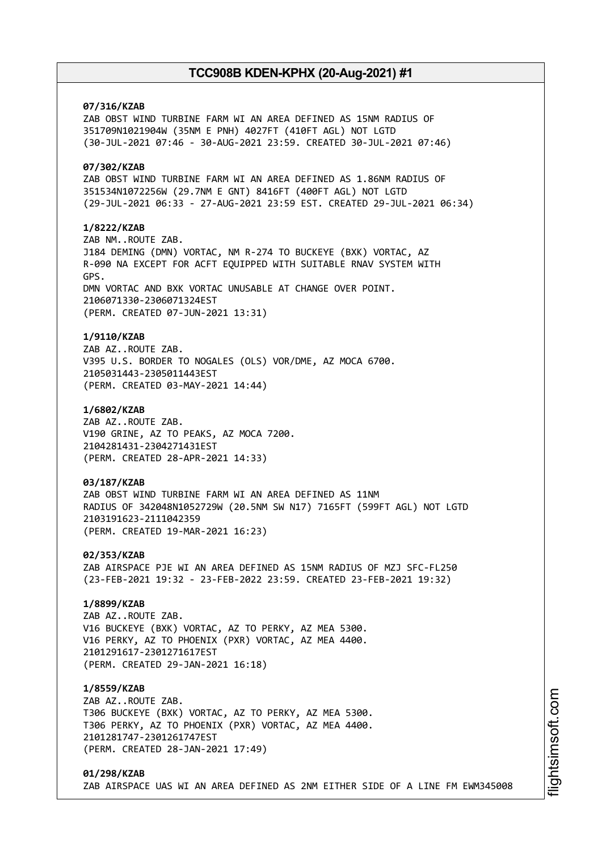## **07/316/KZAB**

ZAB OBST WIND TURBINE FARM WI AN AREA DEFINED AS 15NM RADIUS OF 351709N1021904W (35NM E PNH) 4027FT (410FT AGL) NOT LGTD (30-JUL-2021 07:46 - 30-AUG-2021 23:59. CREATED 30-JUL-2021 07:46)

## **07/302/KZAB**

ZAB OBST WIND TURBINE FARM WI AN AREA DEFINED AS 1.86NM RADIUS OF 351534N1072256W (29.7NM E GNT) 8416FT (400FT AGL) NOT LGTD (29-JUL-2021 06:33 - 27-AUG-2021 23:59 EST. CREATED 29-JUL-2021 06:34)

### **1/8222/KZAB**

ZAB NM..ROUTE ZAB. J184 DEMING (DMN) VORTAC, NM R-274 TO BUCKEYE (BXK) VORTAC, AZ R-090 NA EXCEPT FOR ACFT EQUIPPED WITH SUITABLE RNAV SYSTEM WITH GPS. DMN VORTAC AND BXK VORTAC UNUSABLE AT CHANGE OVER POINT. 2106071330-2306071324EST (PERM. CREATED 07-JUN-2021 13:31)

### **1/9110/KZAB**

ZAB AZ..ROUTE ZAB. V395 U.S. BORDER TO NOGALES (OLS) VOR/DME, AZ MOCA 6700. 2105031443-2305011443EST (PERM. CREATED 03-MAY-2021 14:44)

#### **1/6802/KZAB**

ZAB AZ..ROUTE ZAB. V190 GRINE, AZ TO PEAKS, AZ MOCA 7200. 2104281431-2304271431EST (PERM. CREATED 28-APR-2021 14:33)

### **03/187/KZAB**

ZAB OBST WIND TURBINE FARM WI AN AREA DEFINED AS 11NM RADIUS OF 342048N1052729W (20.5NM SW N17) 7165FT (599FT AGL) NOT LGTD 2103191623-2111042359 (PERM. CREATED 19-MAR-2021 16:23)

**02/353/KZAB** ZAB AIRSPACE PJE WI AN AREA DEFINED AS 15NM RADIUS OF MZJ SFC-FL250 (23-FEB-2021 19:32 - 23-FEB-2022 23:59. CREATED 23-FEB-2021 19:32)

### **1/8899/KZAB**

ZAB AZ..ROUTE ZAB. V16 BUCKEYE (BXK) VORTAC, AZ TO PERKY, AZ MEA 5300. V16 PERKY, AZ TO PHOENIX (PXR) VORTAC, AZ MEA 4400. 2101291617-2301271617EST (PERM. CREATED 29-JAN-2021 16:18)

### **1/8559/KZAB**

ZAB AZ..ROUTE ZAB. T306 BUCKEYE (BXK) VORTAC, AZ TO PERKY, AZ MEA 5300. T306 PERKY, AZ TO PHOENIX (PXR) VORTAC, AZ MEA 4400. 2101281747-2301261747EST (PERM. CREATED 28-JAN-2021 17:49)

### **01/298/KZAB** ZAB AIRSPACE UAS WI AN AREA DEFINED AS 2NM EITHER SIDE OF A LINE FM EWM345008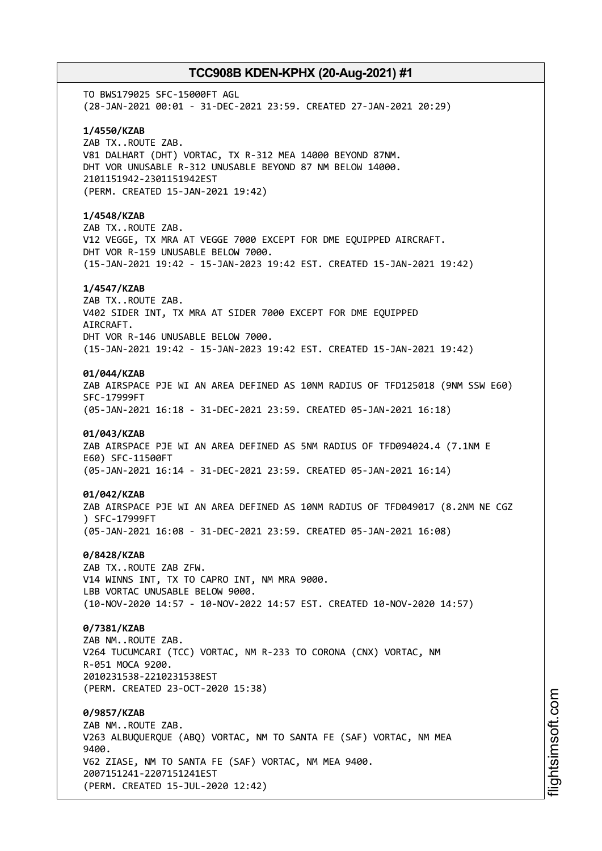TO BWS179025 SFC-15000FT AGL (28-JAN-2021 00:01 - 31-DEC-2021 23:59. CREATED 27-JAN-2021 20:29) **1/4550/KZAB** ZAB TX..ROUTE ZAB. V81 DALHART (DHT) VORTAC, TX R-312 MEA 14000 BEYOND 87NM. DHT VOR UNUSABLE R-312 UNUSABLE BEYOND 87 NM BELOW 14000. 2101151942-2301151942EST (PERM. CREATED 15-JAN-2021 19:42) **1/4548/KZAB** ZAB TX..ROUTE ZAB. V12 VEGGE, TX MRA AT VEGGE 7000 EXCEPT FOR DME EQUIPPED AIRCRAFT. DHT VOR R-159 UNUSABLE BELOW 7000. (15-JAN-2021 19:42 - 15-JAN-2023 19:42 EST. CREATED 15-JAN-2021 19:42) **1/4547/KZAB** ZAB TX..ROUTE ZAB. V402 SIDER INT, TX MRA AT SIDER 7000 EXCEPT FOR DME EQUIPPED AIRCRAFT. DHT VOR R-146 UNUSABLE BELOW 7000. (15-JAN-2021 19:42 - 15-JAN-2023 19:42 EST. CREATED 15-JAN-2021 19:42) **01/044/KZAB** ZAB AIRSPACE PJE WI AN AREA DEFINED AS 10NM RADIUS OF TFD125018 (9NM SSW E60) SFC-17999FT (05-JAN-2021 16:18 - 31-DEC-2021 23:59. CREATED 05-JAN-2021 16:18) **01/043/KZAB** ZAB AIRSPACE PJE WI AN AREA DEFINED AS 5NM RADIUS OF TFD094024.4 (7.1NM E E60) SFC-11500FT (05-JAN-2021 16:14 - 31-DEC-2021 23:59. CREATED 05-JAN-2021 16:14) **01/042/KZAB** ZAB AIRSPACE PJE WI AN AREA DEFINED AS 10NM RADIUS OF TFD049017 (8.2NM NE CGZ ) SFC-17999FT (05-JAN-2021 16:08 - 31-DEC-2021 23:59. CREATED 05-JAN-2021 16:08) **0/8428/KZAB** ZAB TX..ROUTE ZAB ZFW. V14 WINNS INT, TX TO CAPRO INT, NM MRA 9000. LBB VORTAC UNUSABLE BELOW 9000. (10-NOV-2020 14:57 - 10-NOV-2022 14:57 EST. CREATED 10-NOV-2020 14:57) **0/7381/KZAB** ZAB NM..ROUTE ZAB. V264 TUCUMCARI (TCC) VORTAC, NM R-233 TO CORONA (CNX) VORTAC, NM R-051 MOCA 9200. 2010231538-2210231538EST (PERM. CREATED 23-OCT-2020 15:38) **0/9857/KZAB** ZAB NM..ROUTE ZAB. V263 ALBUQUERQUE (ABQ) VORTAC, NM TO SANTA FE (SAF) VORTAC, NM MEA 9400. V62 ZIASE, NM TO SANTA FE (SAF) VORTAC, NM MEA 9400. 2007151241-2207151241EST (PERM. CREATED 15-JUL-2020 12:42)